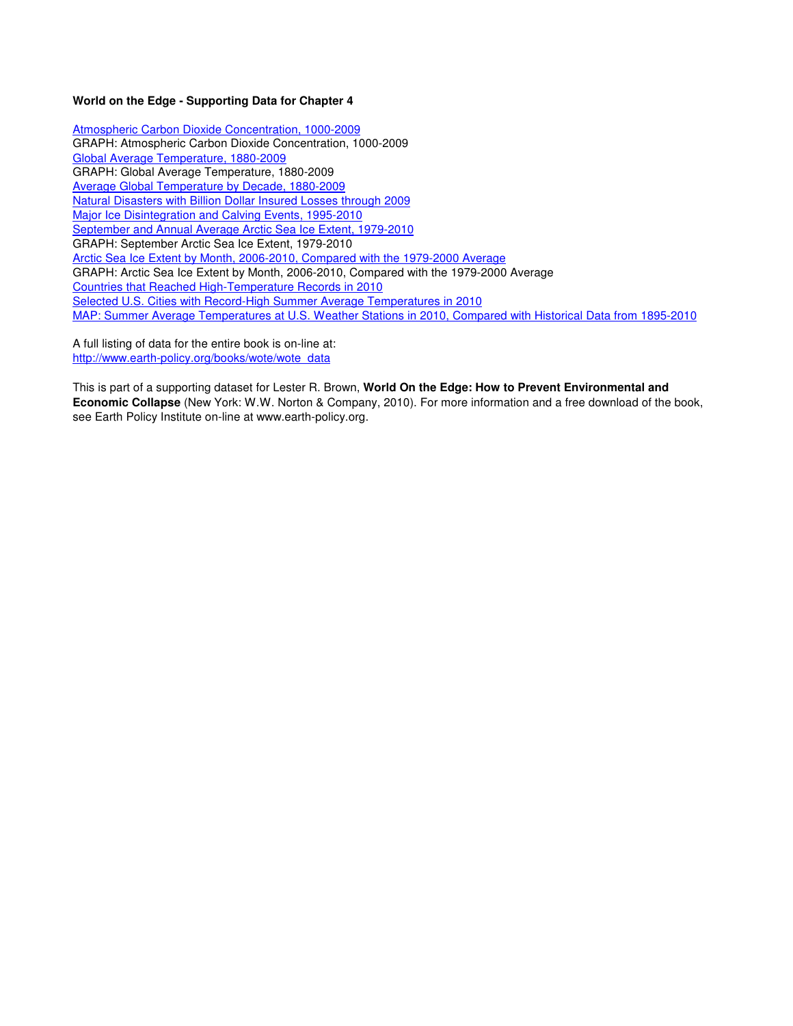### **World on the Edge - Supporting Data for Chapter 4**

Atmospheric Carbon Dioxide Concentration, 1000-2009 GRAPH: Atmospheric Carbon Dioxide Concentration, 1000-2009 Global Average Temperature, 1880-2009 GRAPH: Global Average Temperature, 1880-2009 Average Global Temperature by Decade, 1880-2009 Natural Disasters with Billion Dollar Insured Losses through 2009 Major Ice Disintegration and Calving Events, 1995-2010 September and Annual Average Arctic Sea Ice Extent, 1979-2010 GRAPH: September Arctic Sea Ice Extent, 1979-2010 Arctic Sea Ice Extent by Month, 2006-2010, Compared with the 1979-2000 Average GRAPH: Arctic Sea Ice Extent by Month, 2006-2010, Compared with the 1979-2000 Average Countries that Reached High-Temperature Records in 2010 Selected U.S. Cities with Record-High Summer Average Temperatures in 2010 MAP: Summer Average Temperatures at U.S. Weather Stations in 2010, Compared with Historical Data from 1895-2010

A full listing of data for the entire book is on-line at: http://www.earth-policy.org/books/wote/wote\_data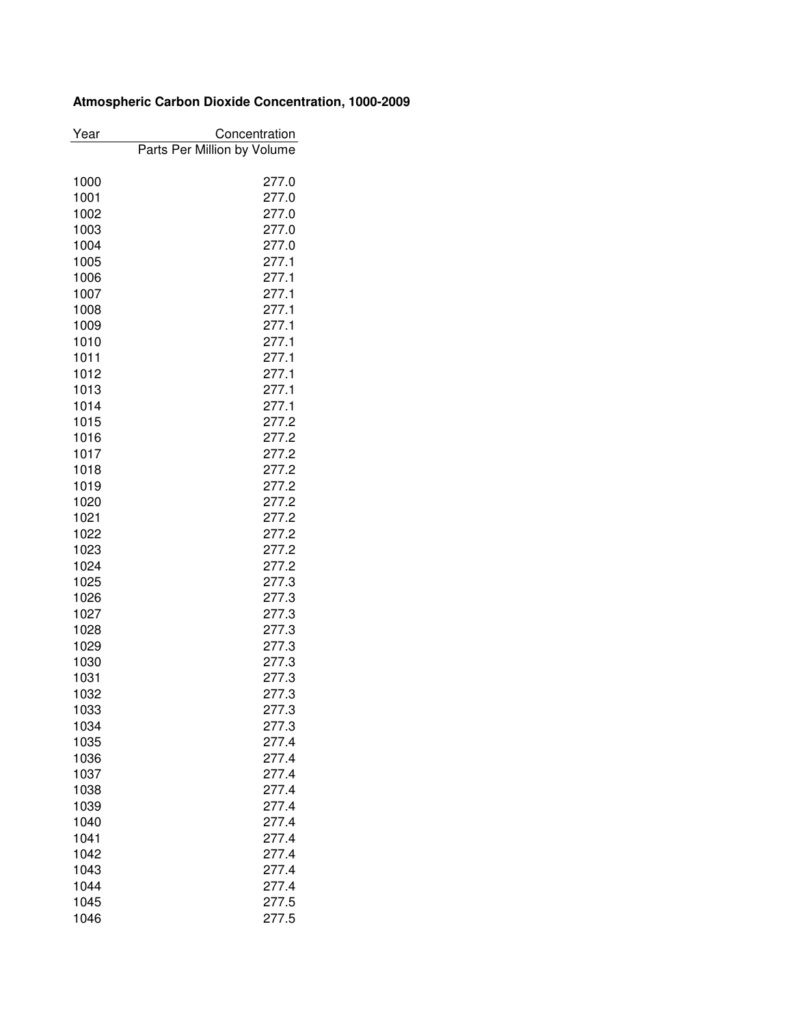# **Atmospheric Carbon Dioxide Concentration, 1000-2009**

| Year         | Concentration               |
|--------------|-----------------------------|
|              | Parts Per Million by Volume |
|              |                             |
| 1000         | 277.0                       |
| 1001         | 277.0                       |
| 1002         | 277.0                       |
| 1003         | 277.0                       |
| 1004         | 277.0                       |
| 1005         | 277.1                       |
| 1006         | 277.1                       |
| 1007         | 277.1                       |
| 1008         | 277.1                       |
| 1009         | 277.1                       |
| 1010         | 277.1                       |
| 1011         | 277.1                       |
| 1012         | 277.1                       |
| 1013         | 277.1                       |
| 1014         | 277.1                       |
| 1015         | 277.2                       |
| 1016         | 277.2                       |
| 1017         | 277.2                       |
| 1018         | 277.2                       |
| 1019         | 277.2                       |
| 1020         | 277.2                       |
| 1021         | 277.2                       |
| 1022         | 277.2                       |
| 1023         | 277.2                       |
| 1024         | 277.2                       |
| 1025         | 277.3                       |
| 1026         | 277.3                       |
| 1027         | 277.3                       |
| 1028         | 277.3                       |
| 1029         | 277.3                       |
| 1030         | 277.3                       |
| 1031         | 277.3                       |
| 1032         | 277.3                       |
| 1033         | 277.3                       |
| 1034         | 277.3                       |
| 1035         | 277.4                       |
|              | 277.4                       |
| 1036<br>1037 | 277.4                       |
|              | 277.4                       |
| 1038         | 277.4                       |
| 1039         | 277.4                       |
| 1040         |                             |
| 1041         | 277.4                       |
| 1042         | 277.4                       |
| 1043         | 277.4                       |
| 1044         | 277.4                       |
| 1045         | 277.5                       |
| 1046         | 277.5                       |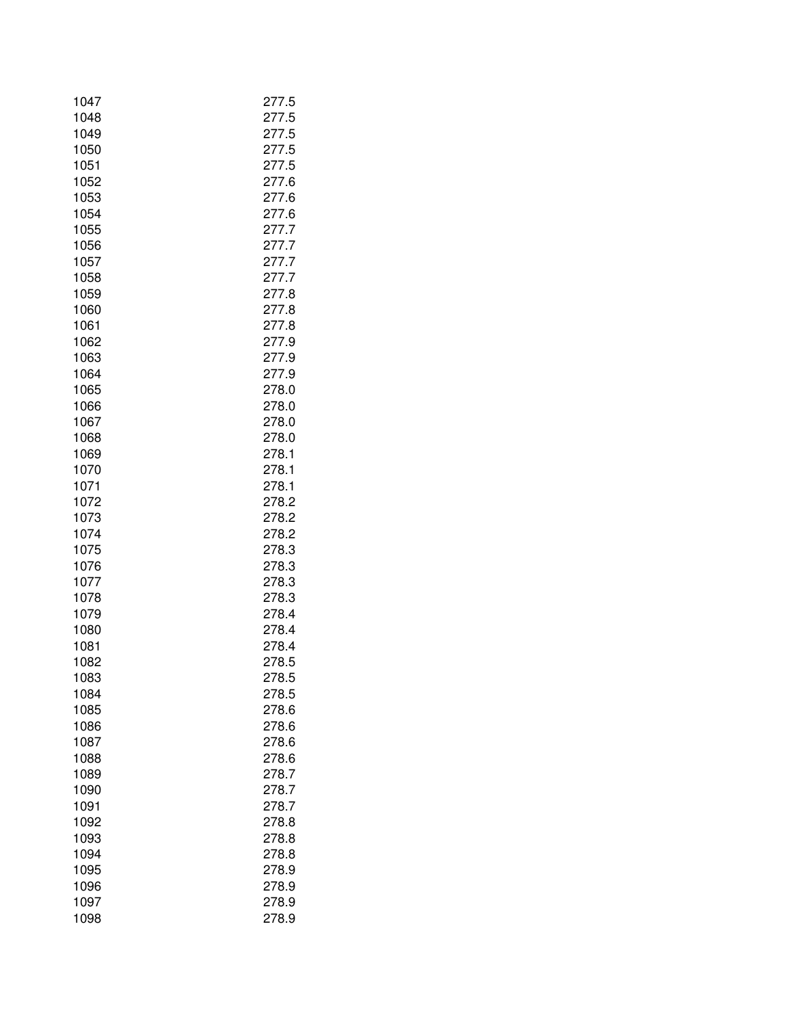| 1047 | 277.5 |
|------|-------|
| 1048 | 277.5 |
| 1049 | 277.5 |
| 1050 | 277.5 |
| 1051 | 277.5 |
| 1052 | 277.6 |
| 1053 | 277.6 |
| 1054 | 277.6 |
| 1055 | 277.7 |
| 1056 | 277.7 |
| 1057 | 277.7 |
| 1058 | 277.7 |
| 1059 | 277.8 |
| 1060 | 277.8 |
| 1061 | 277.8 |
| 1062 | 277.9 |
| 1063 | 277.9 |
| 1064 | 277.9 |
| 1065 | 278.0 |
| 1066 | 278.0 |
| 1067 | 278.0 |
| 1068 | 278.0 |
| 1069 | 278.1 |
| 1070 | 278.1 |
| 1071 | 278.1 |
| 1072 | 278.2 |
| 1073 | 278.2 |
| 1074 | 278.2 |
| 1075 | 278.3 |
| 1076 | 278.3 |
| 1077 | 278.3 |
| 1078 | 278.3 |
| 1079 | 278.4 |
| 1080 | 278.4 |
| 1081 | 278.4 |
| 1082 | 278.5 |
| 1083 | 278.5 |
| 1084 | 278.5 |
| 1085 | 278.6 |
| 1086 | 278.6 |
| 1087 | 278.6 |
| 1088 | 278.6 |
| 1089 | 278.7 |
| 1090 | 278.7 |
| 1091 | 278.7 |
| 1092 | 278.8 |
| 1093 | 278.8 |
| 1094 | 278.8 |
| 1095 | 278.9 |
| 1096 | 278.9 |
| 1097 | 278.9 |
| 1098 | 278.9 |
|      |       |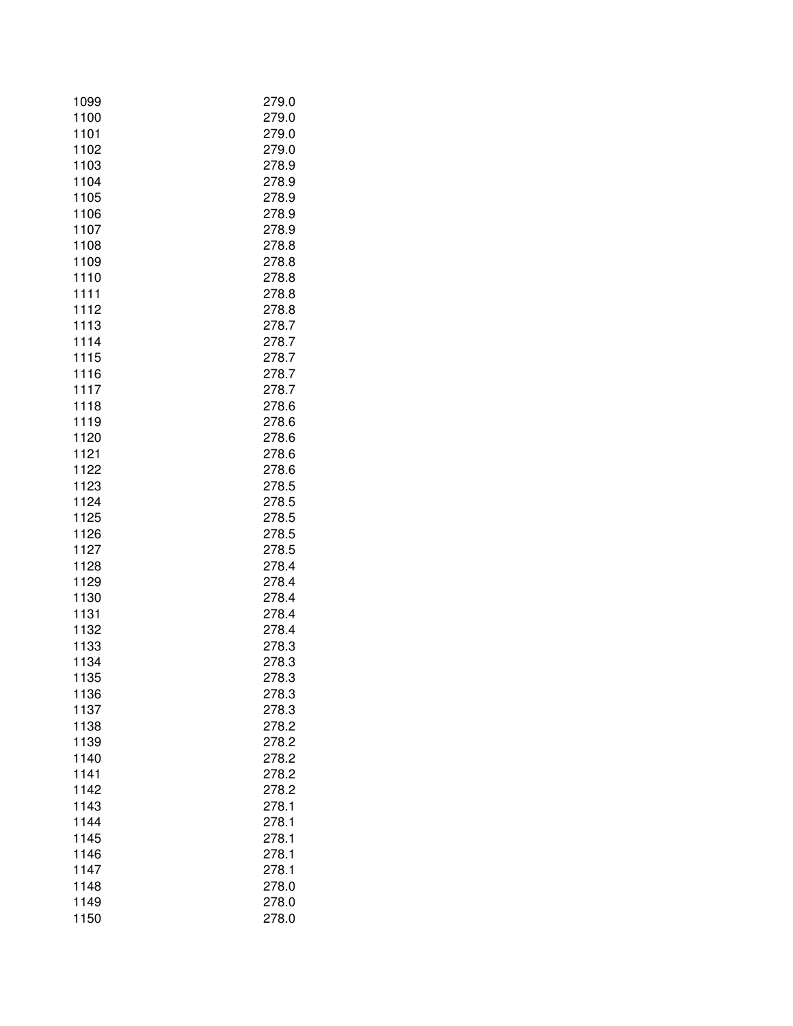| 1099 | 279.0 |
|------|-------|
| 1100 | 279.0 |
| 1101 | 279.0 |
| 1102 | 279.0 |
| 1103 | 278.9 |
| 1104 | 278.9 |
| 1105 | 278.9 |
| 1106 | 278.9 |
| 1107 | 278.9 |
| 1108 | 278.8 |
| 1109 | 278.8 |
| 1110 | 278.8 |
| 1111 | 278.8 |
| 1112 | 278.8 |
| 1113 | 278.7 |
| 1114 | 278.7 |
| 1115 | 278.7 |
| 1116 | 278.7 |
| 1117 | 278.7 |
| 1118 | 278.6 |
| 1119 | 278.6 |
| 1120 | 278.6 |
| 1121 | 278.6 |
| 1122 | 278.6 |
| 1123 | 278.5 |
| 1124 | 278.5 |
| 1125 | 278.5 |
| 1126 | 278.5 |
| 1127 | 278.5 |
| 1128 | 278.4 |
| 1129 | 278.4 |
| 1130 | 278.4 |
| 1131 | 278.4 |
| 1132 | 278.4 |
| 1133 | 278.3 |
| 1134 | 278.3 |
| 1135 | 278.3 |
| 1136 | 278.3 |
| 1137 | 278.3 |
| 1138 | 278.2 |
| 1139 | 278.2 |
| 1140 | 278.2 |
| 1141 | 278.2 |
| 1142 | 278.2 |
| 1143 | 278.1 |
| 1144 | 278.1 |
| 1145 | 278.1 |
| 1146 | 278.1 |
| 1147 | 278.1 |
| 1148 | 278.0 |
| 1149 | 278.0 |
| 1150 | 278.0 |
|      |       |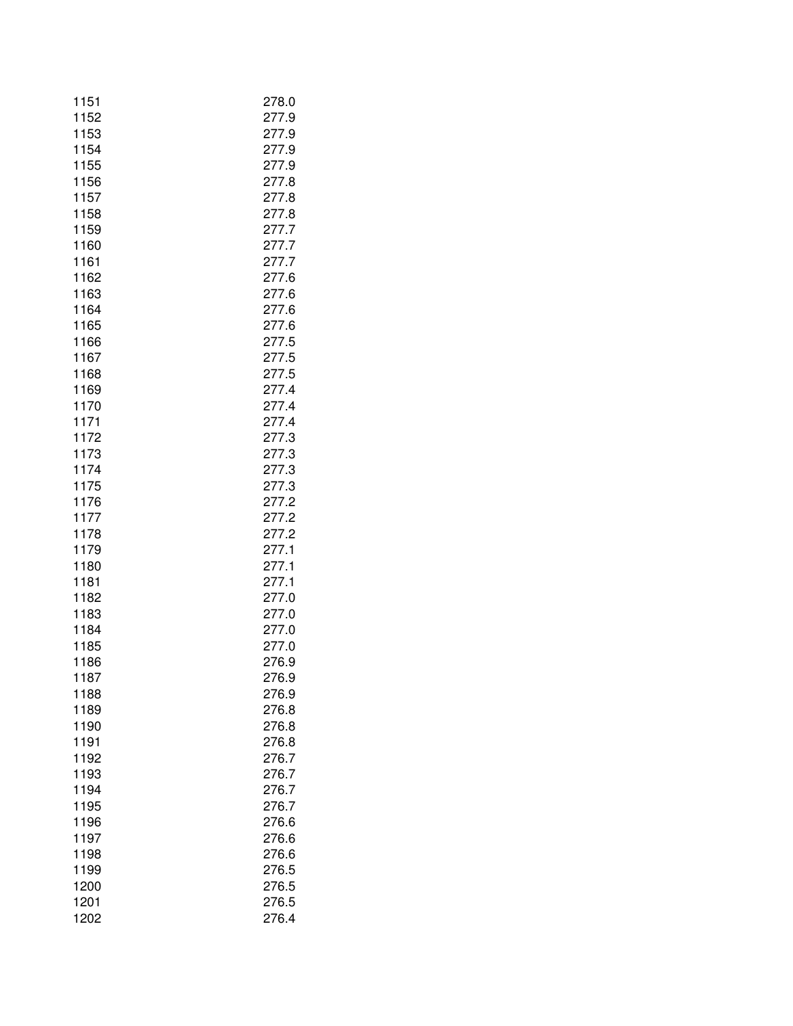| 1151         | 278.0          |
|--------------|----------------|
| 1152         | 277.9          |
| 1153         | 277.9          |
| 1154         | 277.9          |
| 1155         | 277.9          |
| 1156         | 277.8          |
| 1157         | 277.8          |
| 1158         | 277.8          |
| 1159         | 277.7          |
| 1160         | 277.7          |
| 1161         | 277.7          |
| 1162         | 277.6          |
| 1163         | 277.6          |
| 1164         | 277.6          |
| 1165         | 277.6          |
| 1166         | 277.5          |
| 1167<br>1168 | 277.5          |
| 1169         | 277.5<br>277.4 |
| 1170         | 277.4          |
| 1171         | 277.4          |
| 1172         | 277.3          |
| 1173         | 277.3          |
| 1174         | 277.3          |
| 1175         | 277.3          |
| 1176         | 277.2          |
| 1177         | 277.2          |
| 1178         | 277.2          |
| 1179         | 277.1          |
| 1180         | 277.1          |
| 1181         | 277.1          |
| 1182         | 277.0          |
| 1183         | 277.0          |
| 1184         | 277.0          |
| 1185         | 277.0          |
| 1186         | 276.9          |
| 1187         | 276.9          |
| 1188         | 276.9          |
| 1189         | 276.8          |
| 1190         | 276.8          |
| 1191         | 276.8          |
| 1192         | 276.7          |
| 1193         | 276.7          |
| 1194         | 276.7          |
| 1195         | 276.7          |
| 1196         | 276.6          |
| 1197         | 276.6          |
| 1198         | 276.6          |
| 1199         | 276.5          |
| 1200         | 276.5          |
| 1201         | 276.5          |
| 1202         | 276.4          |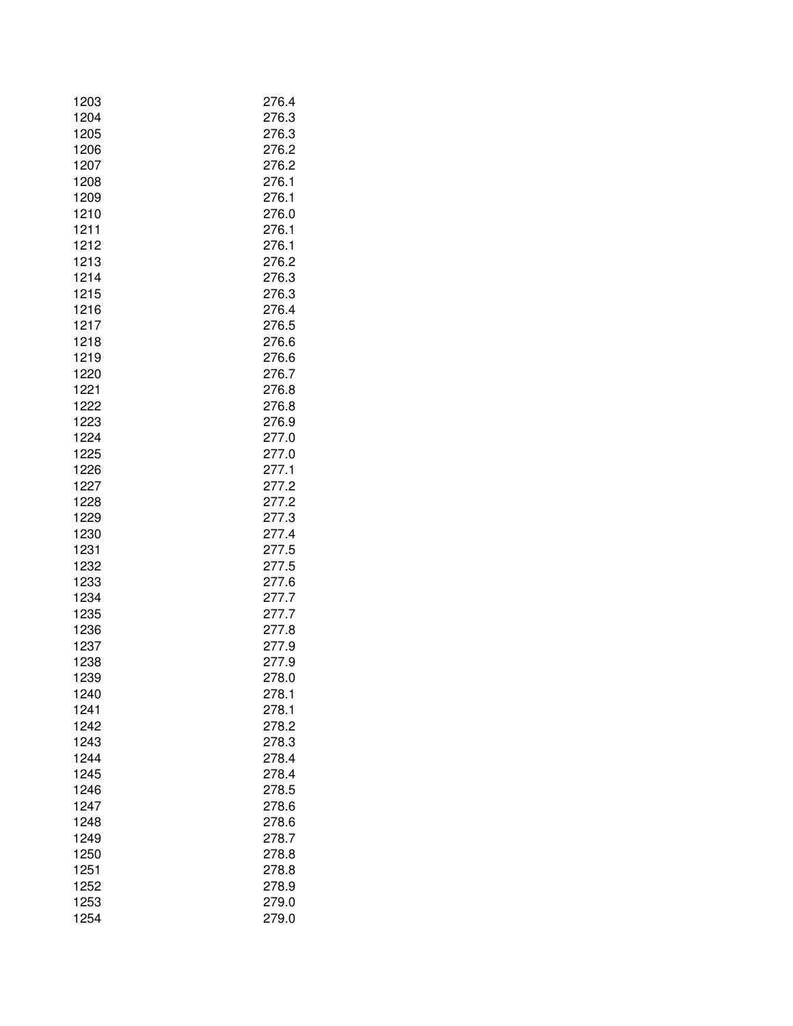| 1203 | 276.4 |
|------|-------|
| 1204 | 276.3 |
| 1205 | 276.3 |
| 1206 | 276.2 |
| 1207 | 276.2 |
| 1208 | 276.1 |
| 1209 | 276.1 |
| 1210 | 276.0 |
| 1211 | 276.1 |
| 1212 | 276.1 |
| 1213 | 276.2 |
| 1214 | 276.3 |
| 1215 | 276.3 |
| 1216 | 276.4 |
| 1217 | 276.5 |
| 1218 | 276.6 |
| 1219 | 276.6 |
| 1220 | 276.7 |
| 1221 | 276.8 |
| 1222 | 276.8 |
| 1223 | 276.9 |
| 1224 | 277.0 |
| 1225 | 277.0 |
| 1226 | 277.1 |
| 1227 | 277.2 |
| 1228 | 277.2 |
| 1229 | 277.3 |
| 1230 | 277.4 |
| 1231 | 277.5 |
| 1232 | 277.5 |
| 1233 | 277.6 |
| 1234 | 277.7 |
| 1235 | 277.7 |
| 1236 | 277.8 |
| 1237 | 277.9 |
| 1238 | 277.9 |
| 1239 | 278.0 |
| 1240 | 278.1 |
| 1241 | 278.1 |
| 1242 | 278.2 |
| 1243 | 278.3 |
| 1244 | 278.4 |
| 1245 | 278.4 |
| 1246 | 278.5 |
| 1247 | 278.6 |
| 1248 | 278.6 |
| 1249 | 278.7 |
| 1250 | 278.8 |
| 1251 | 278.8 |
| 1252 | 278.9 |
| 1253 | 279.0 |
| 1254 | 279.0 |
|      |       |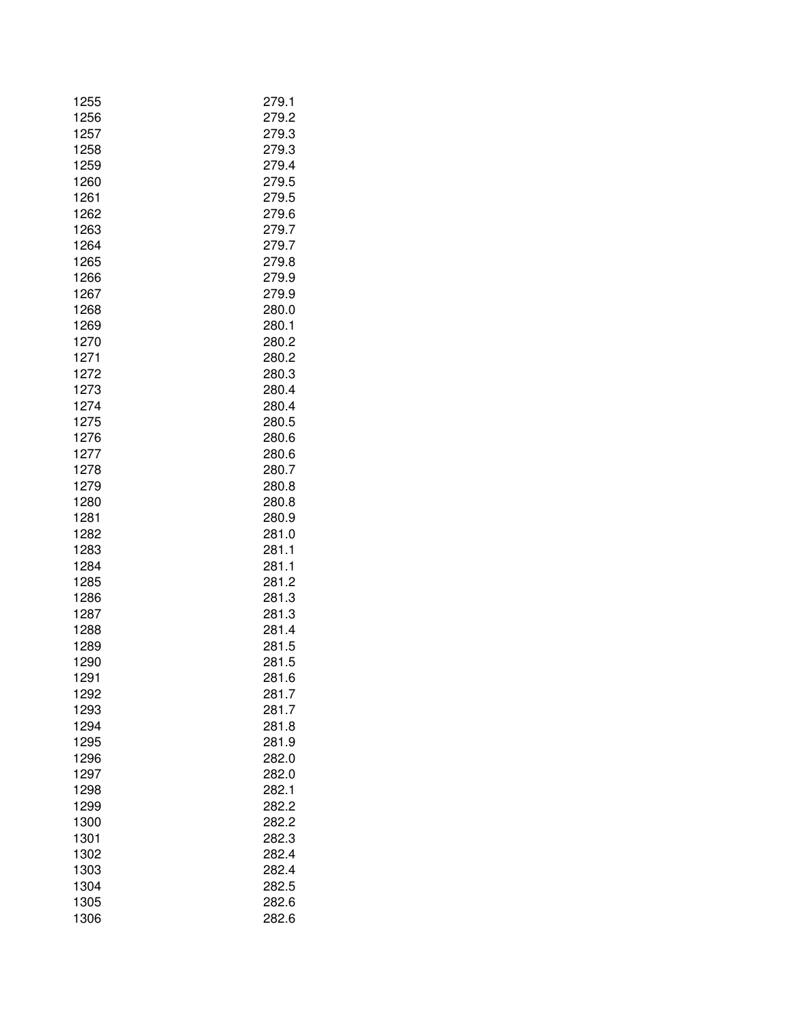| 1255 | 279.1 |
|------|-------|
| 1256 | 279.2 |
| 1257 | 279.3 |
| 1258 | 279.3 |
| 1259 | 279.4 |
| 1260 | 279.5 |
| 1261 | 279.5 |
| 1262 | 279.6 |
| 1263 | 279.7 |
| 1264 | 279.7 |
| 1265 | 279.8 |
| 1266 | 279.9 |
| 1267 | 279.9 |
| 1268 | 280.0 |
| 1269 | 280.1 |
| 1270 | 280.2 |
| 1271 | 280.2 |
| 1272 | 280.3 |
| 1273 | 280.4 |
| 1274 | 280.4 |
| 1275 | 280.5 |
| 1276 | 280.6 |
| 1277 | 280.6 |
| 1278 | 280.7 |
| 1279 | 280.8 |
| 1280 | 280.8 |
| 1281 | 280.9 |
| 1282 | 281.0 |
| 1283 | 281.1 |
| 1284 | 281.1 |
| 1285 | 281.2 |
| 1286 | 281.3 |
| 1287 | 281.3 |
| 1288 | 281.4 |
| 1289 | 281.5 |
| 1290 | 281.5 |
| 1291 | 281.6 |
| 1292 | 281.7 |
| 1293 | 281.7 |
| 1294 | 281.8 |
| 1295 | 281.9 |
| 1296 | 282.0 |
| 1297 | 282.0 |
| 1298 | 282.1 |
| 1299 | 282.2 |
| 1300 | 282.2 |
| 1301 | 282.3 |
| 1302 | 282.4 |
| 1303 | 282.4 |
| 1304 | 282.5 |
| 1305 | 282.6 |
| 1306 | 282.6 |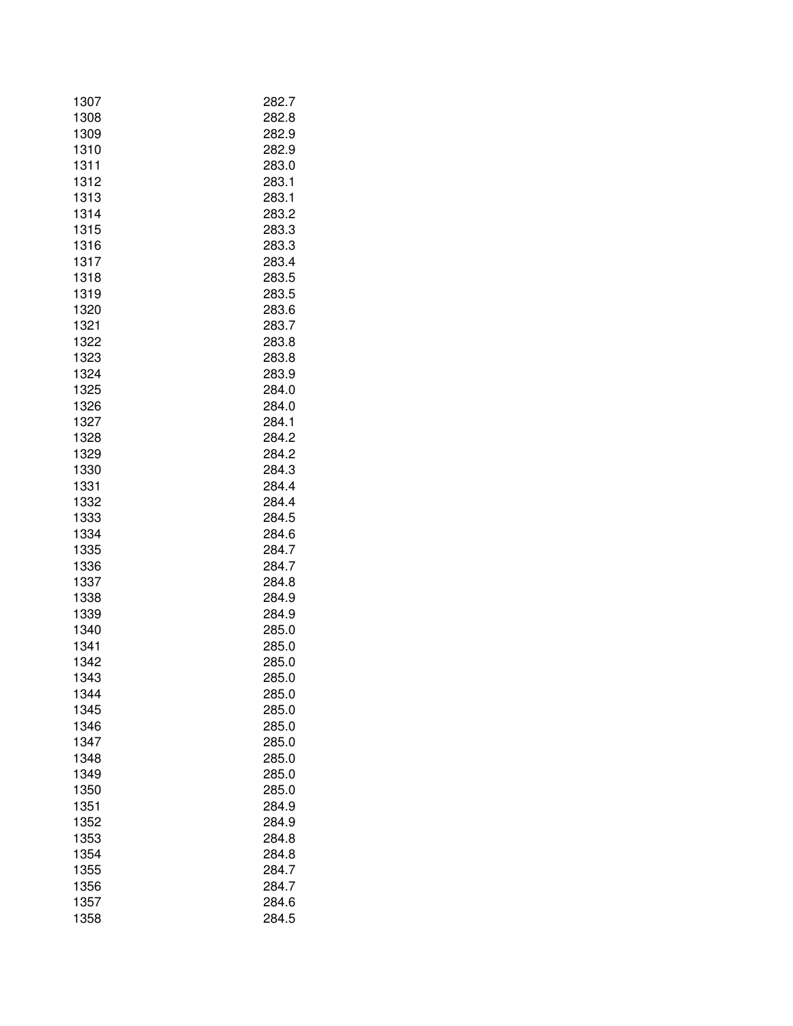| 1307 | 282.7 |
|------|-------|
| 1308 | 282.8 |
| 1309 | 282.9 |
| 1310 | 282.9 |
| 1311 | 283.0 |
| 1312 | 283.1 |
| 1313 | 283.1 |
| 1314 | 283.2 |
| 1315 | 283.3 |
| 1316 | 283.3 |
| 1317 | 283.4 |
| 1318 | 283.5 |
| 1319 | 283.5 |
|      |       |
| 1320 | 283.6 |
| 1321 | 283.7 |
| 1322 | 283.8 |
| 1323 | 283.8 |
| 1324 | 283.9 |
| 1325 | 284.0 |
| 1326 | 284.0 |
| 1327 | 284.1 |
| 1328 | 284.2 |
| 1329 | 284.2 |
| 1330 | 284.3 |
| 1331 | 284.4 |
| 1332 | 284.4 |
| 1333 | 284.5 |
| 1334 | 284.6 |
| 1335 | 284.7 |
| 1336 | 284.7 |
| 1337 | 284.8 |
| 1338 | 284.9 |
| 1339 | 284.9 |
| 1340 | 285.0 |
| 1341 | 285.0 |
| 1342 | 285.0 |
| 1343 | 285.0 |
| 1344 | 285.0 |
| 1345 | 285.0 |
| 1346 | 285.0 |
| 1347 | 285.0 |
| 1348 | 285.0 |
| 1349 | 285.0 |
| 1350 | 285.0 |
| 1351 | 284.9 |
| 1352 | 284.9 |
| 1353 | 284.8 |
| 1354 | 284.8 |
| 1355 | 284.7 |
| 1356 | 284.7 |
| 1357 | 284.6 |
| 1358 | 284.5 |
|      |       |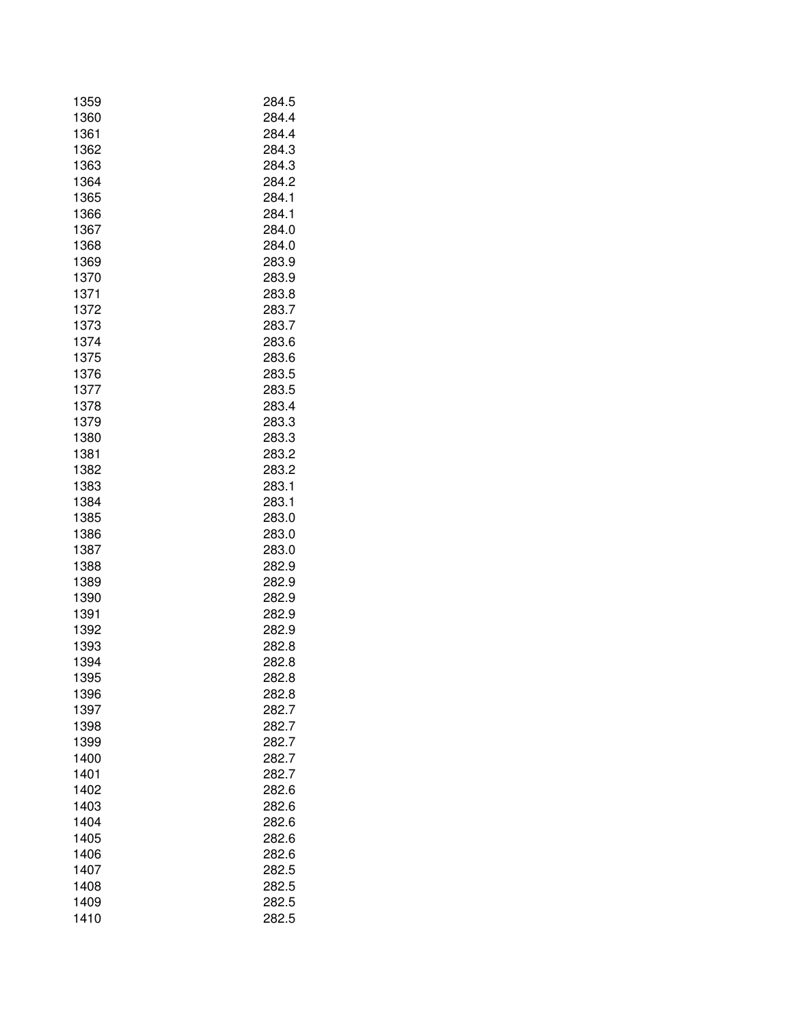| 1359         | 284.5          |
|--------------|----------------|
| 1360         | 284.4          |
| 1361         | 284.4          |
| 1362         | 284.3          |
| 1363         | 284.3          |
| 1364         | 284.2          |
| 1365         | 284.1          |
| 1366         | 284.1          |
| 1367         | 284.0          |
| 1368         | 284.0          |
| 1369         | 283.9          |
| 1370         | 283.9          |
| 1371         | 283.8          |
| 1372         | 283.7          |
| 1373         | 283.7          |
| 1374         | 283.6          |
| 1375         | 283.6          |
| 1376         | 283.5          |
| 1377         | 283.5          |
| 1378         | 283.4          |
| 1379         | 283.3          |
| 1380         | 283.3          |
| 1381         | 283.2          |
| 1382         | 283.2          |
| 1383         | 283.1          |
| 1384         | 283.1          |
| 1385         | 283.0          |
| 1386         | 283.0          |
| 1387         | 283.0          |
| 1388         | 282.9          |
| 1389         | 282.9          |
| 1390         | 282.9          |
| 1391         | 282.9          |
| 1392         | 282.9          |
| 1393         | 282.8          |
| 1394         | 282.8          |
| 1395         | 282.8          |
| 1396         | 282.8          |
| 1397         | 282.7          |
| 1398         | 282.7          |
| 1399         | 282.7          |
| 1400         | 282.7          |
| 1401         | 282.7          |
| 1402         | 282.6          |
| 1403         | 282.6          |
| 1404         | 282.6          |
|              |                |
| 1405<br>1406 | 282.6<br>282.6 |
|              |                |
| 1407         | 282.5          |
| 1408         | 282.5          |
| 1409         | 282.5          |
| 1410         | 282.5          |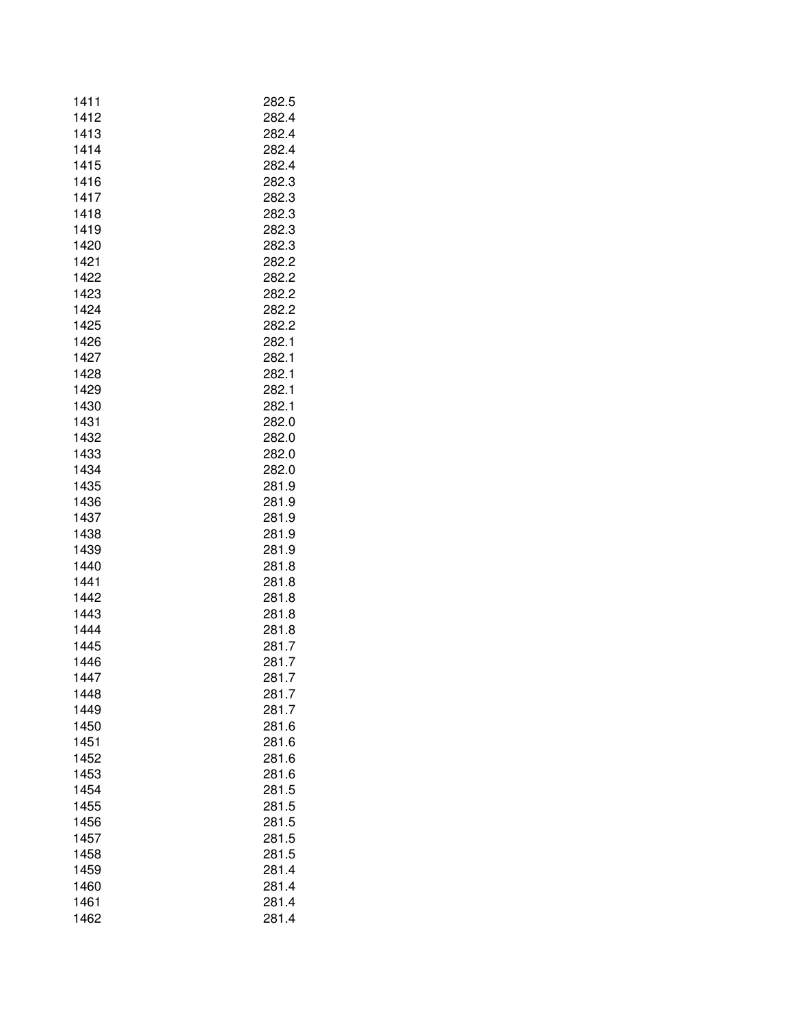| 1411 | 282.5          |
|------|----------------|
| 1412 | 282.4          |
| 1413 | 282.4          |
| 1414 | 282.4          |
| 1415 | 282.4          |
| 1416 | 282.3          |
| 1417 | 282.3          |
| 1418 | 282.3          |
| 1419 | 282.3          |
| 1420 | 282.3          |
| 1421 | 282.2          |
| 1422 | 282.2          |
| 1423 | 282.2          |
| 1424 | 282.2          |
| 1425 | 282.2          |
| 1426 | 282.1          |
| 1427 | 282.1          |
| 1428 | 282.1          |
| 1429 | 282.1          |
| 1430 | 282.1          |
| 1431 | 282.0          |
| 1432 | 282.0          |
| 1433 | 282.0          |
| 1434 | 282.0          |
| 1435 | 281.9          |
| 1436 | 281.9          |
| 1437 | 281.9          |
| 1438 | 281.9          |
| 1439 | 281.9          |
| 1440 | 281.8          |
| 1441 | 281.8          |
| 1442 | 281.8          |
| 1443 | 281.8          |
| 1444 | 281.8          |
| 1445 | 281.7          |
| 1446 | 281.7          |
| 1447 | 281.7          |
| 1448 | 281.7          |
| 1449 | 281.7          |
| 1450 | 281.6          |
| 1451 | 281.6          |
| 1452 |                |
| 1453 | 281.6          |
|      | 281.6          |
| 1454 | 281.5          |
| 1455 | 281.5<br>281.5 |
| 1456 |                |
| 1457 | 281.5          |
| 1458 | 281.5          |
| 1459 | 281.4          |
| 1460 | 281.4          |
| 1461 | 281.4          |
| 1462 | 281.4          |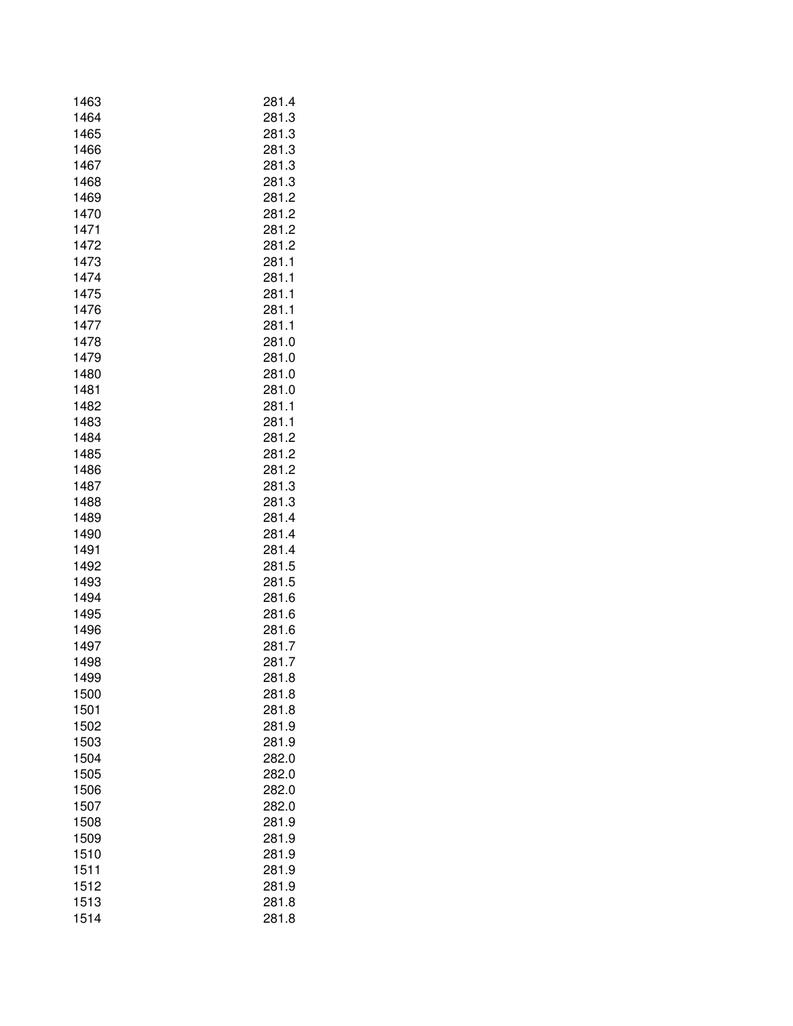| 1463 | 281.4 |
|------|-------|
| 1464 | 281.3 |
| 1465 | 281.3 |
| 1466 | 281.3 |
| 1467 | 281.3 |
| 1468 | 281.3 |
|      |       |
| 1469 | 281.2 |
| 1470 | 281.2 |
| 1471 | 281.2 |
| 1472 | 281.2 |
| 1473 | 281.1 |
| 1474 | 281.1 |
| 1475 | 281.1 |
| 1476 | 281.1 |
| 1477 | 281.1 |
| 1478 | 281.0 |
| 1479 | 281.0 |
| 1480 | 281.0 |
| 1481 | 281.0 |
|      |       |
| 1482 | 281.1 |
| 1483 | 281.1 |
| 1484 | 281.2 |
| 1485 | 281.2 |
| 1486 | 281.2 |
| 1487 | 281.3 |
| 1488 | 281.3 |
| 1489 | 281.4 |
| 1490 | 281.4 |
| 1491 | 281.4 |
| 1492 | 281.5 |
| 1493 | 281.5 |
| 1494 | 281.6 |
| 1495 | 281.6 |
|      |       |
| 1496 | 281.6 |
| 1497 | 281.7 |
| 1498 | 281.7 |
| 1499 | 281.8 |
| 1500 | 281.8 |
| 1501 | 281.8 |
| 1502 | 281.9 |
| 1503 | 281.9 |
| 1504 | 282.0 |
| 1505 | 282.0 |
| 1506 | 282.0 |
| 1507 | 282.0 |
| 1508 | 281.9 |
| 1509 | 281.9 |
|      |       |
| 1510 | 281.9 |
| 1511 | 281.9 |
| 1512 | 281.9 |
| 1513 | 281.8 |
| 1514 | 281.8 |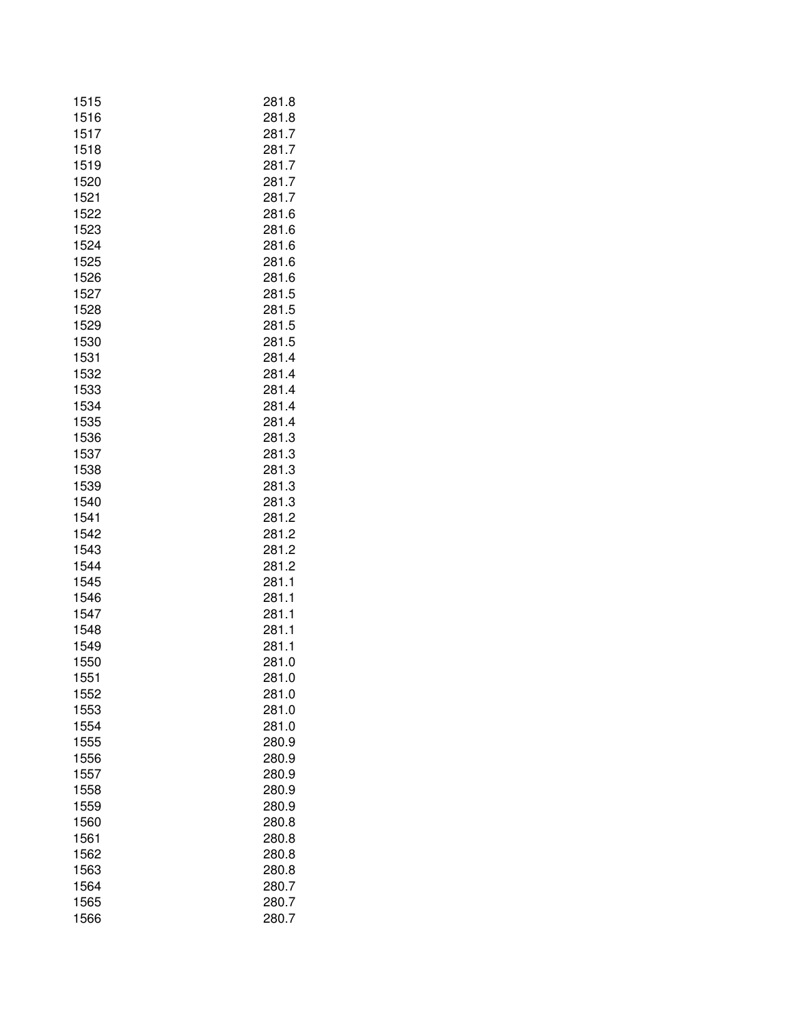| 1516<br>281.8<br>1517<br>281.7<br>1518<br>281.7<br>1519<br>281.7<br>1520<br>281.7<br>1521<br>281.7<br>1522<br>281.6<br>1523<br>281.6<br>1524<br>281.6<br>1525<br>281.6<br>1526<br>281.6<br>1527<br>281.5<br>1528<br>281.5<br>1529<br>281.5<br>1530<br>281.5<br>1531<br>281.4<br>1532<br>281.4<br>1533<br>281.4<br>1534<br>281.4<br>1535<br>281.4<br>1536<br>281.3<br>1537<br>281.3<br>1538<br>281.3<br>1539<br>281.3<br>281.3<br>1540<br>1541<br>281.2<br>281.2<br>1542<br>1543<br>281.2<br>1544<br>281.2<br>1545<br>281.1<br>1546<br>281.1<br>1547<br>281.1<br>1548<br>281.1<br>1549<br>281.1<br>1550<br>281.0<br>1551<br>281.0<br>1552<br>281.0<br>1553<br>281.0<br>1554<br>281.0<br>1555<br>280.9<br>280.9<br>1556<br>280.9<br>1557<br>1558<br>280.9<br>1559<br>280.9<br>1560<br>280.8<br>1561<br>280.8<br>1562<br>280.8<br>1563<br>280.8<br>1564<br>280.7<br>1565<br>280.7<br>1566<br>280.7 | 1515 | 281.8 |
|-------------------------------------------------------------------------------------------------------------------------------------------------------------------------------------------------------------------------------------------------------------------------------------------------------------------------------------------------------------------------------------------------------------------------------------------------------------------------------------------------------------------------------------------------------------------------------------------------------------------------------------------------------------------------------------------------------------------------------------------------------------------------------------------------------------------------------------------------------------------------------------------------|------|-------|
|                                                                                                                                                                                                                                                                                                                                                                                                                                                                                                                                                                                                                                                                                                                                                                                                                                                                                                 |      |       |
|                                                                                                                                                                                                                                                                                                                                                                                                                                                                                                                                                                                                                                                                                                                                                                                                                                                                                                 |      |       |
|                                                                                                                                                                                                                                                                                                                                                                                                                                                                                                                                                                                                                                                                                                                                                                                                                                                                                                 |      |       |
|                                                                                                                                                                                                                                                                                                                                                                                                                                                                                                                                                                                                                                                                                                                                                                                                                                                                                                 |      |       |
|                                                                                                                                                                                                                                                                                                                                                                                                                                                                                                                                                                                                                                                                                                                                                                                                                                                                                                 |      |       |
|                                                                                                                                                                                                                                                                                                                                                                                                                                                                                                                                                                                                                                                                                                                                                                                                                                                                                                 |      |       |
|                                                                                                                                                                                                                                                                                                                                                                                                                                                                                                                                                                                                                                                                                                                                                                                                                                                                                                 |      |       |
|                                                                                                                                                                                                                                                                                                                                                                                                                                                                                                                                                                                                                                                                                                                                                                                                                                                                                                 |      |       |
|                                                                                                                                                                                                                                                                                                                                                                                                                                                                                                                                                                                                                                                                                                                                                                                                                                                                                                 |      |       |
|                                                                                                                                                                                                                                                                                                                                                                                                                                                                                                                                                                                                                                                                                                                                                                                                                                                                                                 |      |       |
|                                                                                                                                                                                                                                                                                                                                                                                                                                                                                                                                                                                                                                                                                                                                                                                                                                                                                                 |      |       |
|                                                                                                                                                                                                                                                                                                                                                                                                                                                                                                                                                                                                                                                                                                                                                                                                                                                                                                 |      |       |
|                                                                                                                                                                                                                                                                                                                                                                                                                                                                                                                                                                                                                                                                                                                                                                                                                                                                                                 |      |       |
|                                                                                                                                                                                                                                                                                                                                                                                                                                                                                                                                                                                                                                                                                                                                                                                                                                                                                                 |      |       |
|                                                                                                                                                                                                                                                                                                                                                                                                                                                                                                                                                                                                                                                                                                                                                                                                                                                                                                 |      |       |
|                                                                                                                                                                                                                                                                                                                                                                                                                                                                                                                                                                                                                                                                                                                                                                                                                                                                                                 |      |       |
|                                                                                                                                                                                                                                                                                                                                                                                                                                                                                                                                                                                                                                                                                                                                                                                                                                                                                                 |      |       |
|                                                                                                                                                                                                                                                                                                                                                                                                                                                                                                                                                                                                                                                                                                                                                                                                                                                                                                 |      |       |
|                                                                                                                                                                                                                                                                                                                                                                                                                                                                                                                                                                                                                                                                                                                                                                                                                                                                                                 |      |       |
|                                                                                                                                                                                                                                                                                                                                                                                                                                                                                                                                                                                                                                                                                                                                                                                                                                                                                                 |      |       |
|                                                                                                                                                                                                                                                                                                                                                                                                                                                                                                                                                                                                                                                                                                                                                                                                                                                                                                 |      |       |
|                                                                                                                                                                                                                                                                                                                                                                                                                                                                                                                                                                                                                                                                                                                                                                                                                                                                                                 |      |       |
|                                                                                                                                                                                                                                                                                                                                                                                                                                                                                                                                                                                                                                                                                                                                                                                                                                                                                                 |      |       |
|                                                                                                                                                                                                                                                                                                                                                                                                                                                                                                                                                                                                                                                                                                                                                                                                                                                                                                 |      |       |
|                                                                                                                                                                                                                                                                                                                                                                                                                                                                                                                                                                                                                                                                                                                                                                                                                                                                                                 |      |       |
|                                                                                                                                                                                                                                                                                                                                                                                                                                                                                                                                                                                                                                                                                                                                                                                                                                                                                                 |      |       |
|                                                                                                                                                                                                                                                                                                                                                                                                                                                                                                                                                                                                                                                                                                                                                                                                                                                                                                 |      |       |
|                                                                                                                                                                                                                                                                                                                                                                                                                                                                                                                                                                                                                                                                                                                                                                                                                                                                                                 |      |       |
|                                                                                                                                                                                                                                                                                                                                                                                                                                                                                                                                                                                                                                                                                                                                                                                                                                                                                                 |      |       |
|                                                                                                                                                                                                                                                                                                                                                                                                                                                                                                                                                                                                                                                                                                                                                                                                                                                                                                 |      |       |
|                                                                                                                                                                                                                                                                                                                                                                                                                                                                                                                                                                                                                                                                                                                                                                                                                                                                                                 |      |       |
|                                                                                                                                                                                                                                                                                                                                                                                                                                                                                                                                                                                                                                                                                                                                                                                                                                                                                                 |      |       |
|                                                                                                                                                                                                                                                                                                                                                                                                                                                                                                                                                                                                                                                                                                                                                                                                                                                                                                 |      |       |
|                                                                                                                                                                                                                                                                                                                                                                                                                                                                                                                                                                                                                                                                                                                                                                                                                                                                                                 |      |       |
|                                                                                                                                                                                                                                                                                                                                                                                                                                                                                                                                                                                                                                                                                                                                                                                                                                                                                                 |      |       |
|                                                                                                                                                                                                                                                                                                                                                                                                                                                                                                                                                                                                                                                                                                                                                                                                                                                                                                 |      |       |
|                                                                                                                                                                                                                                                                                                                                                                                                                                                                                                                                                                                                                                                                                                                                                                                                                                                                                                 |      |       |
|                                                                                                                                                                                                                                                                                                                                                                                                                                                                                                                                                                                                                                                                                                                                                                                                                                                                                                 |      |       |
|                                                                                                                                                                                                                                                                                                                                                                                                                                                                                                                                                                                                                                                                                                                                                                                                                                                                                                 |      |       |
|                                                                                                                                                                                                                                                                                                                                                                                                                                                                                                                                                                                                                                                                                                                                                                                                                                                                                                 |      |       |
|                                                                                                                                                                                                                                                                                                                                                                                                                                                                                                                                                                                                                                                                                                                                                                                                                                                                                                 |      |       |
|                                                                                                                                                                                                                                                                                                                                                                                                                                                                                                                                                                                                                                                                                                                                                                                                                                                                                                 |      |       |
|                                                                                                                                                                                                                                                                                                                                                                                                                                                                                                                                                                                                                                                                                                                                                                                                                                                                                                 |      |       |
|                                                                                                                                                                                                                                                                                                                                                                                                                                                                                                                                                                                                                                                                                                                                                                                                                                                                                                 |      |       |
|                                                                                                                                                                                                                                                                                                                                                                                                                                                                                                                                                                                                                                                                                                                                                                                                                                                                                                 |      |       |
|                                                                                                                                                                                                                                                                                                                                                                                                                                                                                                                                                                                                                                                                                                                                                                                                                                                                                                 |      |       |
|                                                                                                                                                                                                                                                                                                                                                                                                                                                                                                                                                                                                                                                                                                                                                                                                                                                                                                 |      |       |
|                                                                                                                                                                                                                                                                                                                                                                                                                                                                                                                                                                                                                                                                                                                                                                                                                                                                                                 |      |       |
|                                                                                                                                                                                                                                                                                                                                                                                                                                                                                                                                                                                                                                                                                                                                                                                                                                                                                                 |      |       |
|                                                                                                                                                                                                                                                                                                                                                                                                                                                                                                                                                                                                                                                                                                                                                                                                                                                                                                 |      |       |
|                                                                                                                                                                                                                                                                                                                                                                                                                                                                                                                                                                                                                                                                                                                                                                                                                                                                                                 |      |       |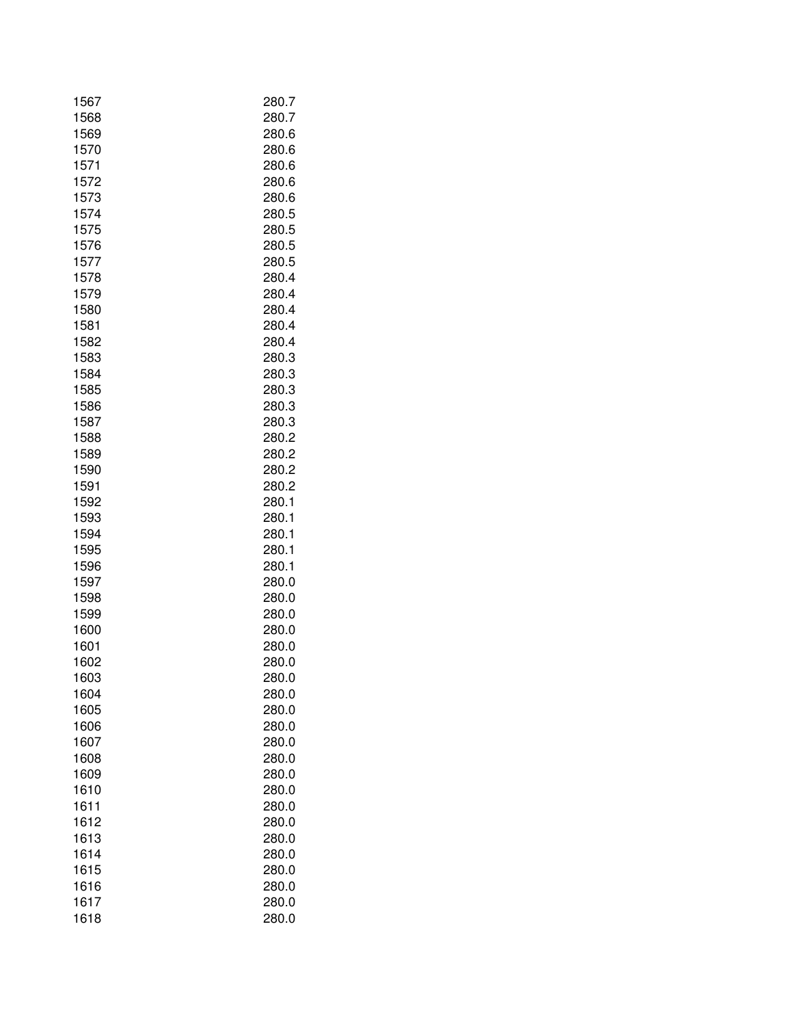| 1567 | 280.7 |
|------|-------|
| 1568 | 280.7 |
| 1569 | 280.6 |
| 1570 | 280.6 |
| 1571 | 280.6 |
| 1572 | 280.6 |
| 1573 | 280.6 |
| 1574 | 280.5 |
| 1575 | 280.5 |
| 1576 | 280.5 |
| 1577 | 280.5 |
| 1578 | 280.4 |
| 1579 | 280.4 |
| 1580 | 280.4 |
| 1581 | 280.4 |
| 1582 | 280.4 |
| 1583 | 280.3 |
| 1584 | 280.3 |
| 1585 | 280.3 |
| 1586 | 280.3 |
| 1587 | 280.3 |
| 1588 | 280.2 |
| 1589 | 280.2 |
| 1590 | 280.2 |
| 1591 | 280.2 |
| 1592 | 280.1 |
| 1593 | 280.1 |
| 1594 | 280.1 |
| 1595 | 280.1 |
| 1596 | 280.1 |
| 1597 | 280.0 |
| 1598 | 280.0 |
| 1599 | 280.0 |
| 1600 | 280.0 |
| 1601 | 280.0 |
| 1602 | 280.0 |
| 1603 | 280.0 |
| 1604 | 280.0 |
| 1605 | 280.0 |
| 1606 | 280.0 |
| 1607 | 280.0 |
| 1608 | 280.0 |
| 1609 | 280.0 |
| 1610 | 280.0 |
| 1611 | 280.0 |
| 1612 | 280.0 |
| 1613 | 280.0 |
| 1614 | 280.0 |
| 1615 | 280.0 |
| 1616 | 280.0 |
| 1617 | 280.0 |
| 1618 | 280.0 |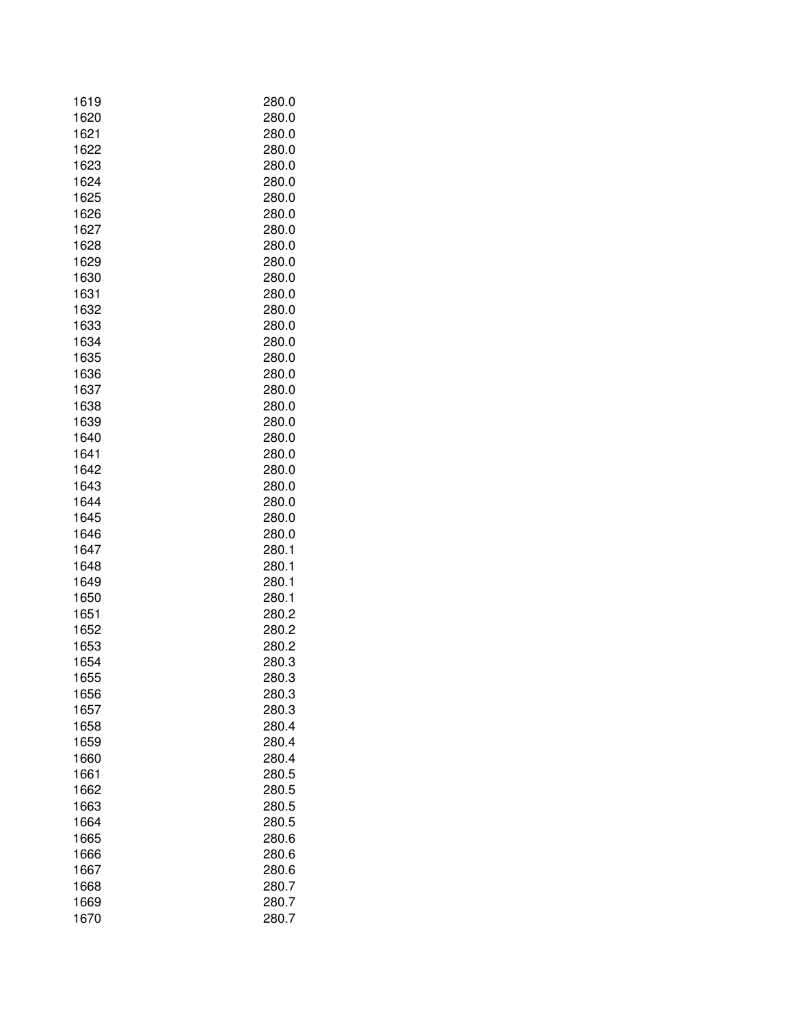| 1620<br>280.0<br>1621<br>280.0<br>1622<br>280.0<br>1623<br>280.0<br>1624<br>280.0<br>1625<br>280.0<br>280.0<br>1626<br>1627<br>280.0<br>1628<br>280.0<br>1629<br>280.0<br>1630<br>280.0<br>1631<br>280.0<br>1632<br>280.0<br>1633<br>280.0<br>1634<br>280.0<br>1635<br>280.0<br>1636<br>280.0<br>1637<br>280.0<br>1638<br>280.0<br>1639<br>280.0<br>1640<br>280.0<br>1641<br>280.0<br>1642<br>280.0<br>1643<br>280.0<br>1644<br>280.0<br>1645<br>280.0<br>1646<br>280.0<br>1647<br>280.1<br>1648<br>280.1<br>1649<br>280.1<br>1650<br>280.1<br>1651<br>280.2<br>1652<br>280.2<br>1653<br>280.2<br>1654<br>280.3<br>1655<br>280.3<br>1656<br>280.3<br>1657<br>280.3<br>1658<br>280.4<br>280.4<br>1659<br>1660<br>280.4<br>280.5<br>1661<br>1662<br>280.5<br>1663<br>280.5<br>1664<br>280.5<br>1665<br>280.6<br>1666<br>280.6<br>280.6<br>1667<br>1668<br>280.7<br>1669<br>280.7<br>1670<br>280.7 | 1619 | 280.0 |
|-------------------------------------------------------------------------------------------------------------------------------------------------------------------------------------------------------------------------------------------------------------------------------------------------------------------------------------------------------------------------------------------------------------------------------------------------------------------------------------------------------------------------------------------------------------------------------------------------------------------------------------------------------------------------------------------------------------------------------------------------------------------------------------------------------------------------------------------------------------------------------------------------|------|-------|
|                                                                                                                                                                                                                                                                                                                                                                                                                                                                                                                                                                                                                                                                                                                                                                                                                                                                                                 |      |       |
|                                                                                                                                                                                                                                                                                                                                                                                                                                                                                                                                                                                                                                                                                                                                                                                                                                                                                                 |      |       |
|                                                                                                                                                                                                                                                                                                                                                                                                                                                                                                                                                                                                                                                                                                                                                                                                                                                                                                 |      |       |
|                                                                                                                                                                                                                                                                                                                                                                                                                                                                                                                                                                                                                                                                                                                                                                                                                                                                                                 |      |       |
|                                                                                                                                                                                                                                                                                                                                                                                                                                                                                                                                                                                                                                                                                                                                                                                                                                                                                                 |      |       |
|                                                                                                                                                                                                                                                                                                                                                                                                                                                                                                                                                                                                                                                                                                                                                                                                                                                                                                 |      |       |
|                                                                                                                                                                                                                                                                                                                                                                                                                                                                                                                                                                                                                                                                                                                                                                                                                                                                                                 |      |       |
|                                                                                                                                                                                                                                                                                                                                                                                                                                                                                                                                                                                                                                                                                                                                                                                                                                                                                                 |      |       |
|                                                                                                                                                                                                                                                                                                                                                                                                                                                                                                                                                                                                                                                                                                                                                                                                                                                                                                 |      |       |
|                                                                                                                                                                                                                                                                                                                                                                                                                                                                                                                                                                                                                                                                                                                                                                                                                                                                                                 |      |       |
|                                                                                                                                                                                                                                                                                                                                                                                                                                                                                                                                                                                                                                                                                                                                                                                                                                                                                                 |      |       |
|                                                                                                                                                                                                                                                                                                                                                                                                                                                                                                                                                                                                                                                                                                                                                                                                                                                                                                 |      |       |
|                                                                                                                                                                                                                                                                                                                                                                                                                                                                                                                                                                                                                                                                                                                                                                                                                                                                                                 |      |       |
|                                                                                                                                                                                                                                                                                                                                                                                                                                                                                                                                                                                                                                                                                                                                                                                                                                                                                                 |      |       |
|                                                                                                                                                                                                                                                                                                                                                                                                                                                                                                                                                                                                                                                                                                                                                                                                                                                                                                 |      |       |
|                                                                                                                                                                                                                                                                                                                                                                                                                                                                                                                                                                                                                                                                                                                                                                                                                                                                                                 |      |       |
|                                                                                                                                                                                                                                                                                                                                                                                                                                                                                                                                                                                                                                                                                                                                                                                                                                                                                                 |      |       |
|                                                                                                                                                                                                                                                                                                                                                                                                                                                                                                                                                                                                                                                                                                                                                                                                                                                                                                 |      |       |
|                                                                                                                                                                                                                                                                                                                                                                                                                                                                                                                                                                                                                                                                                                                                                                                                                                                                                                 |      |       |
|                                                                                                                                                                                                                                                                                                                                                                                                                                                                                                                                                                                                                                                                                                                                                                                                                                                                                                 |      |       |
|                                                                                                                                                                                                                                                                                                                                                                                                                                                                                                                                                                                                                                                                                                                                                                                                                                                                                                 |      |       |
|                                                                                                                                                                                                                                                                                                                                                                                                                                                                                                                                                                                                                                                                                                                                                                                                                                                                                                 |      |       |
|                                                                                                                                                                                                                                                                                                                                                                                                                                                                                                                                                                                                                                                                                                                                                                                                                                                                                                 |      |       |
|                                                                                                                                                                                                                                                                                                                                                                                                                                                                                                                                                                                                                                                                                                                                                                                                                                                                                                 |      |       |
|                                                                                                                                                                                                                                                                                                                                                                                                                                                                                                                                                                                                                                                                                                                                                                                                                                                                                                 |      |       |
|                                                                                                                                                                                                                                                                                                                                                                                                                                                                                                                                                                                                                                                                                                                                                                                                                                                                                                 |      |       |
|                                                                                                                                                                                                                                                                                                                                                                                                                                                                                                                                                                                                                                                                                                                                                                                                                                                                                                 |      |       |
|                                                                                                                                                                                                                                                                                                                                                                                                                                                                                                                                                                                                                                                                                                                                                                                                                                                                                                 |      |       |
|                                                                                                                                                                                                                                                                                                                                                                                                                                                                                                                                                                                                                                                                                                                                                                                                                                                                                                 |      |       |
|                                                                                                                                                                                                                                                                                                                                                                                                                                                                                                                                                                                                                                                                                                                                                                                                                                                                                                 |      |       |
|                                                                                                                                                                                                                                                                                                                                                                                                                                                                                                                                                                                                                                                                                                                                                                                                                                                                                                 |      |       |
|                                                                                                                                                                                                                                                                                                                                                                                                                                                                                                                                                                                                                                                                                                                                                                                                                                                                                                 |      |       |
|                                                                                                                                                                                                                                                                                                                                                                                                                                                                                                                                                                                                                                                                                                                                                                                                                                                                                                 |      |       |
|                                                                                                                                                                                                                                                                                                                                                                                                                                                                                                                                                                                                                                                                                                                                                                                                                                                                                                 |      |       |
|                                                                                                                                                                                                                                                                                                                                                                                                                                                                                                                                                                                                                                                                                                                                                                                                                                                                                                 |      |       |
|                                                                                                                                                                                                                                                                                                                                                                                                                                                                                                                                                                                                                                                                                                                                                                                                                                                                                                 |      |       |
|                                                                                                                                                                                                                                                                                                                                                                                                                                                                                                                                                                                                                                                                                                                                                                                                                                                                                                 |      |       |
|                                                                                                                                                                                                                                                                                                                                                                                                                                                                                                                                                                                                                                                                                                                                                                                                                                                                                                 |      |       |
|                                                                                                                                                                                                                                                                                                                                                                                                                                                                                                                                                                                                                                                                                                                                                                                                                                                                                                 |      |       |
|                                                                                                                                                                                                                                                                                                                                                                                                                                                                                                                                                                                                                                                                                                                                                                                                                                                                                                 |      |       |
|                                                                                                                                                                                                                                                                                                                                                                                                                                                                                                                                                                                                                                                                                                                                                                                                                                                                                                 |      |       |
|                                                                                                                                                                                                                                                                                                                                                                                                                                                                                                                                                                                                                                                                                                                                                                                                                                                                                                 |      |       |
|                                                                                                                                                                                                                                                                                                                                                                                                                                                                                                                                                                                                                                                                                                                                                                                                                                                                                                 |      |       |
|                                                                                                                                                                                                                                                                                                                                                                                                                                                                                                                                                                                                                                                                                                                                                                                                                                                                                                 |      |       |
|                                                                                                                                                                                                                                                                                                                                                                                                                                                                                                                                                                                                                                                                                                                                                                                                                                                                                                 |      |       |
|                                                                                                                                                                                                                                                                                                                                                                                                                                                                                                                                                                                                                                                                                                                                                                                                                                                                                                 |      |       |
|                                                                                                                                                                                                                                                                                                                                                                                                                                                                                                                                                                                                                                                                                                                                                                                                                                                                                                 |      |       |
|                                                                                                                                                                                                                                                                                                                                                                                                                                                                                                                                                                                                                                                                                                                                                                                                                                                                                                 |      |       |
|                                                                                                                                                                                                                                                                                                                                                                                                                                                                                                                                                                                                                                                                                                                                                                                                                                                                                                 |      |       |
|                                                                                                                                                                                                                                                                                                                                                                                                                                                                                                                                                                                                                                                                                                                                                                                                                                                                                                 |      |       |
|                                                                                                                                                                                                                                                                                                                                                                                                                                                                                                                                                                                                                                                                                                                                                                                                                                                                                                 |      |       |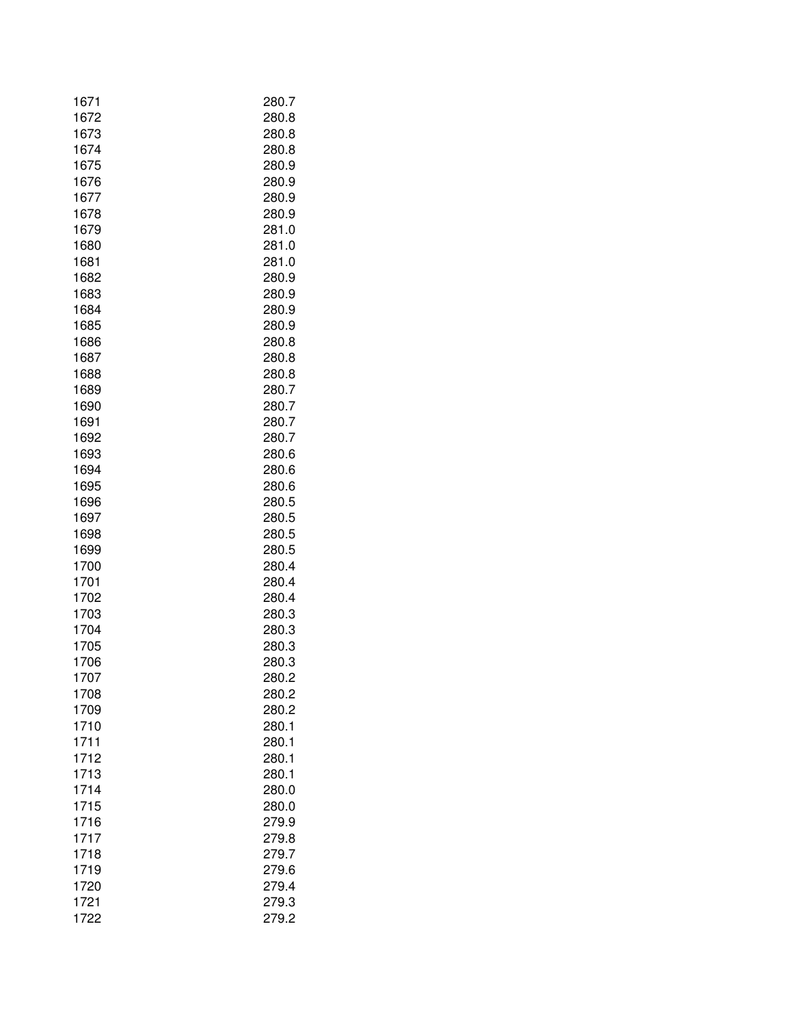| 1672<br>280.8<br>1673<br>280.8<br>1674<br>280.8<br>1675<br>280.9<br>1676<br>280.9<br>1677<br>280.9<br>280.9<br>1678<br>1679<br>281.0<br>281.0<br>1680<br>281.0<br>1681<br>280.9<br>1682<br>1683<br>280.9<br>1684<br>280.9<br>1685<br>280.9<br>280.8<br>1686<br>1687<br>280.8<br>1688<br>280.8<br>1689<br>280.7<br>1690<br>280.7<br>1691<br>280.7<br>1692<br>280.7<br>1693<br>280.6<br>1694<br>280.6<br>1695<br>280.6<br>1696<br>280.5<br>1697<br>280.5<br>1698<br>280.5<br>1699<br>280.5<br>280.4<br>1700<br>1701<br>280.4<br>1702<br>280.4<br>1703<br>280.3<br>1704<br>280.3<br>1705<br>280.3<br>1706<br>280.3<br>1707<br>280.2<br>1708<br>280.2<br>1709<br>280.2<br>1710<br>280.1<br>1711<br>280.1<br>1712<br>280.1<br>280.1<br>1713<br>1714<br>280.0<br>1715<br>280.0<br>1716<br>279.9<br>1717<br>279.8<br>1718<br>279.7<br>279.6<br>1719<br>279.4<br>1720<br>1721<br>279.3<br>1722<br>279.2 | 1671 | 280.7 |
|-------------------------------------------------------------------------------------------------------------------------------------------------------------------------------------------------------------------------------------------------------------------------------------------------------------------------------------------------------------------------------------------------------------------------------------------------------------------------------------------------------------------------------------------------------------------------------------------------------------------------------------------------------------------------------------------------------------------------------------------------------------------------------------------------------------------------------------------------------------------------------------------------|------|-------|
|                                                                                                                                                                                                                                                                                                                                                                                                                                                                                                                                                                                                                                                                                                                                                                                                                                                                                                 |      |       |
|                                                                                                                                                                                                                                                                                                                                                                                                                                                                                                                                                                                                                                                                                                                                                                                                                                                                                                 |      |       |
|                                                                                                                                                                                                                                                                                                                                                                                                                                                                                                                                                                                                                                                                                                                                                                                                                                                                                                 |      |       |
|                                                                                                                                                                                                                                                                                                                                                                                                                                                                                                                                                                                                                                                                                                                                                                                                                                                                                                 |      |       |
|                                                                                                                                                                                                                                                                                                                                                                                                                                                                                                                                                                                                                                                                                                                                                                                                                                                                                                 |      |       |
|                                                                                                                                                                                                                                                                                                                                                                                                                                                                                                                                                                                                                                                                                                                                                                                                                                                                                                 |      |       |
|                                                                                                                                                                                                                                                                                                                                                                                                                                                                                                                                                                                                                                                                                                                                                                                                                                                                                                 |      |       |
|                                                                                                                                                                                                                                                                                                                                                                                                                                                                                                                                                                                                                                                                                                                                                                                                                                                                                                 |      |       |
|                                                                                                                                                                                                                                                                                                                                                                                                                                                                                                                                                                                                                                                                                                                                                                                                                                                                                                 |      |       |
|                                                                                                                                                                                                                                                                                                                                                                                                                                                                                                                                                                                                                                                                                                                                                                                                                                                                                                 |      |       |
|                                                                                                                                                                                                                                                                                                                                                                                                                                                                                                                                                                                                                                                                                                                                                                                                                                                                                                 |      |       |
|                                                                                                                                                                                                                                                                                                                                                                                                                                                                                                                                                                                                                                                                                                                                                                                                                                                                                                 |      |       |
|                                                                                                                                                                                                                                                                                                                                                                                                                                                                                                                                                                                                                                                                                                                                                                                                                                                                                                 |      |       |
|                                                                                                                                                                                                                                                                                                                                                                                                                                                                                                                                                                                                                                                                                                                                                                                                                                                                                                 |      |       |
|                                                                                                                                                                                                                                                                                                                                                                                                                                                                                                                                                                                                                                                                                                                                                                                                                                                                                                 |      |       |
|                                                                                                                                                                                                                                                                                                                                                                                                                                                                                                                                                                                                                                                                                                                                                                                                                                                                                                 |      |       |
|                                                                                                                                                                                                                                                                                                                                                                                                                                                                                                                                                                                                                                                                                                                                                                                                                                                                                                 |      |       |
|                                                                                                                                                                                                                                                                                                                                                                                                                                                                                                                                                                                                                                                                                                                                                                                                                                                                                                 |      |       |
|                                                                                                                                                                                                                                                                                                                                                                                                                                                                                                                                                                                                                                                                                                                                                                                                                                                                                                 |      |       |
|                                                                                                                                                                                                                                                                                                                                                                                                                                                                                                                                                                                                                                                                                                                                                                                                                                                                                                 |      |       |
|                                                                                                                                                                                                                                                                                                                                                                                                                                                                                                                                                                                                                                                                                                                                                                                                                                                                                                 |      |       |
|                                                                                                                                                                                                                                                                                                                                                                                                                                                                                                                                                                                                                                                                                                                                                                                                                                                                                                 |      |       |
|                                                                                                                                                                                                                                                                                                                                                                                                                                                                                                                                                                                                                                                                                                                                                                                                                                                                                                 |      |       |
|                                                                                                                                                                                                                                                                                                                                                                                                                                                                                                                                                                                                                                                                                                                                                                                                                                                                                                 |      |       |
|                                                                                                                                                                                                                                                                                                                                                                                                                                                                                                                                                                                                                                                                                                                                                                                                                                                                                                 |      |       |
|                                                                                                                                                                                                                                                                                                                                                                                                                                                                                                                                                                                                                                                                                                                                                                                                                                                                                                 |      |       |
|                                                                                                                                                                                                                                                                                                                                                                                                                                                                                                                                                                                                                                                                                                                                                                                                                                                                                                 |      |       |
|                                                                                                                                                                                                                                                                                                                                                                                                                                                                                                                                                                                                                                                                                                                                                                                                                                                                                                 |      |       |
|                                                                                                                                                                                                                                                                                                                                                                                                                                                                                                                                                                                                                                                                                                                                                                                                                                                                                                 |      |       |
|                                                                                                                                                                                                                                                                                                                                                                                                                                                                                                                                                                                                                                                                                                                                                                                                                                                                                                 |      |       |
|                                                                                                                                                                                                                                                                                                                                                                                                                                                                                                                                                                                                                                                                                                                                                                                                                                                                                                 |      |       |
|                                                                                                                                                                                                                                                                                                                                                                                                                                                                                                                                                                                                                                                                                                                                                                                                                                                                                                 |      |       |
|                                                                                                                                                                                                                                                                                                                                                                                                                                                                                                                                                                                                                                                                                                                                                                                                                                                                                                 |      |       |
|                                                                                                                                                                                                                                                                                                                                                                                                                                                                                                                                                                                                                                                                                                                                                                                                                                                                                                 |      |       |
|                                                                                                                                                                                                                                                                                                                                                                                                                                                                                                                                                                                                                                                                                                                                                                                                                                                                                                 |      |       |
|                                                                                                                                                                                                                                                                                                                                                                                                                                                                                                                                                                                                                                                                                                                                                                                                                                                                                                 |      |       |
|                                                                                                                                                                                                                                                                                                                                                                                                                                                                                                                                                                                                                                                                                                                                                                                                                                                                                                 |      |       |
|                                                                                                                                                                                                                                                                                                                                                                                                                                                                                                                                                                                                                                                                                                                                                                                                                                                                                                 |      |       |
|                                                                                                                                                                                                                                                                                                                                                                                                                                                                                                                                                                                                                                                                                                                                                                                                                                                                                                 |      |       |
|                                                                                                                                                                                                                                                                                                                                                                                                                                                                                                                                                                                                                                                                                                                                                                                                                                                                                                 |      |       |
|                                                                                                                                                                                                                                                                                                                                                                                                                                                                                                                                                                                                                                                                                                                                                                                                                                                                                                 |      |       |
|                                                                                                                                                                                                                                                                                                                                                                                                                                                                                                                                                                                                                                                                                                                                                                                                                                                                                                 |      |       |
|                                                                                                                                                                                                                                                                                                                                                                                                                                                                                                                                                                                                                                                                                                                                                                                                                                                                                                 |      |       |
|                                                                                                                                                                                                                                                                                                                                                                                                                                                                                                                                                                                                                                                                                                                                                                                                                                                                                                 |      |       |
|                                                                                                                                                                                                                                                                                                                                                                                                                                                                                                                                                                                                                                                                                                                                                                                                                                                                                                 |      |       |
|                                                                                                                                                                                                                                                                                                                                                                                                                                                                                                                                                                                                                                                                                                                                                                                                                                                                                                 |      |       |
|                                                                                                                                                                                                                                                                                                                                                                                                                                                                                                                                                                                                                                                                                                                                                                                                                                                                                                 |      |       |
|                                                                                                                                                                                                                                                                                                                                                                                                                                                                                                                                                                                                                                                                                                                                                                                                                                                                                                 |      |       |
|                                                                                                                                                                                                                                                                                                                                                                                                                                                                                                                                                                                                                                                                                                                                                                                                                                                                                                 |      |       |
|                                                                                                                                                                                                                                                                                                                                                                                                                                                                                                                                                                                                                                                                                                                                                                                                                                                                                                 |      |       |
|                                                                                                                                                                                                                                                                                                                                                                                                                                                                                                                                                                                                                                                                                                                                                                                                                                                                                                 |      |       |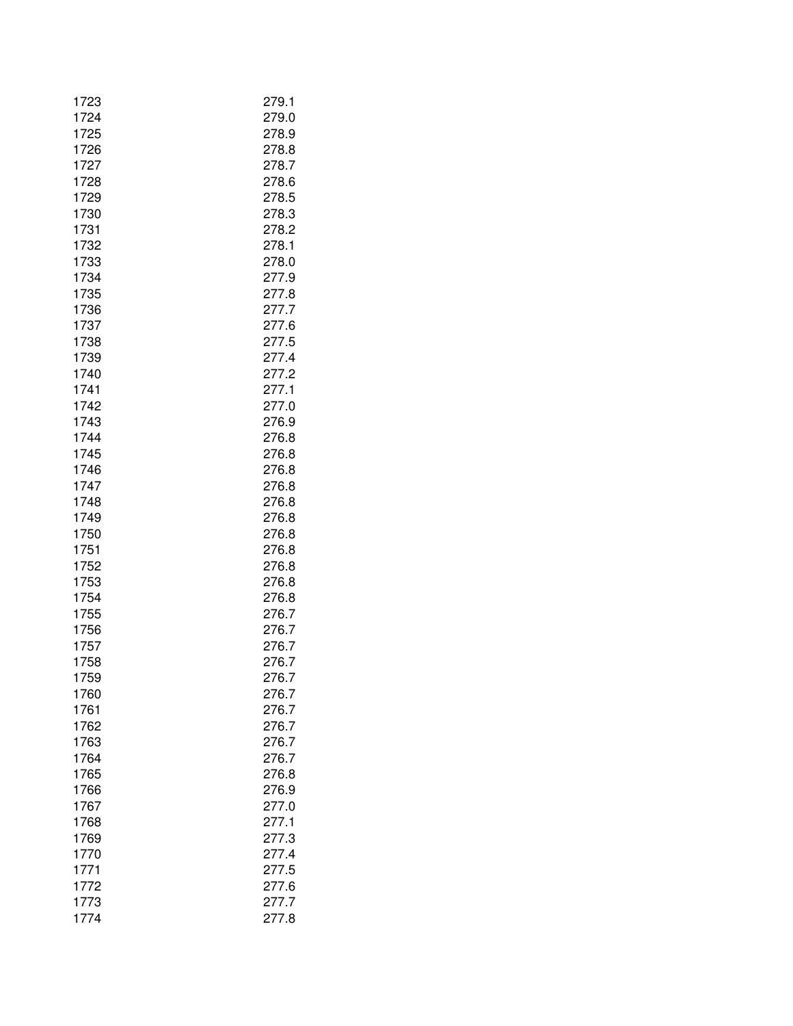| 1723         | 279.1          |
|--------------|----------------|
| 1724<br>1725 | 279.0<br>278.9 |
| 1726         | 278.8          |
| 1727         | 278.7          |
| 1728         | 278.6          |
| 1729         | 278.5          |
| 1730         | 278.3          |
| 1731         | 278.2          |
| 1732         | 278.1          |
| 1733         | 278.0          |
| 1734         | 277.9          |
| 1735<br>1736 | 277.8<br>277.7 |
| 1737         | 277.6          |
| 1738         | 277.5          |
| 1739         | 277.4          |
| 1740         | 277.2          |
| 1741         | 277.1          |
| 1742         | 277.0          |
| 1743         | 276.9          |
| 1744         | 276.8          |
| 1745         | 276.8          |
| 1746<br>1747 | 276.8<br>276.8 |
| 1748         | 276.8          |
| 1749         | 276.8          |
| 1750         | 276.8          |
| 1751         | 276.8          |
| 1752         | 276.8          |
| 1753         | 276.8          |
| 1754         | 276.8          |
| 1755         | 276.7          |
| 1756<br>1757 | 276.7<br>276.7 |
| 1758         | 276.7          |
| 1759         | 276.7          |
| 1760         | 276.7          |
| 1761         | 276.7          |
| 1762         | 276.7          |
| 1763         | 276.7          |
| 1764         | 276.7          |
| 1765         | 276.8          |
| 1766         | 276.9<br>277.0 |
| 1767<br>1768 | 277.1          |
| 1769         | 277.3          |
| 1770         | 277.4          |
| 1771         | 277.5          |
| 1772         | 277.6          |
| 1773         | 277.7          |
| 1774         | 277.8          |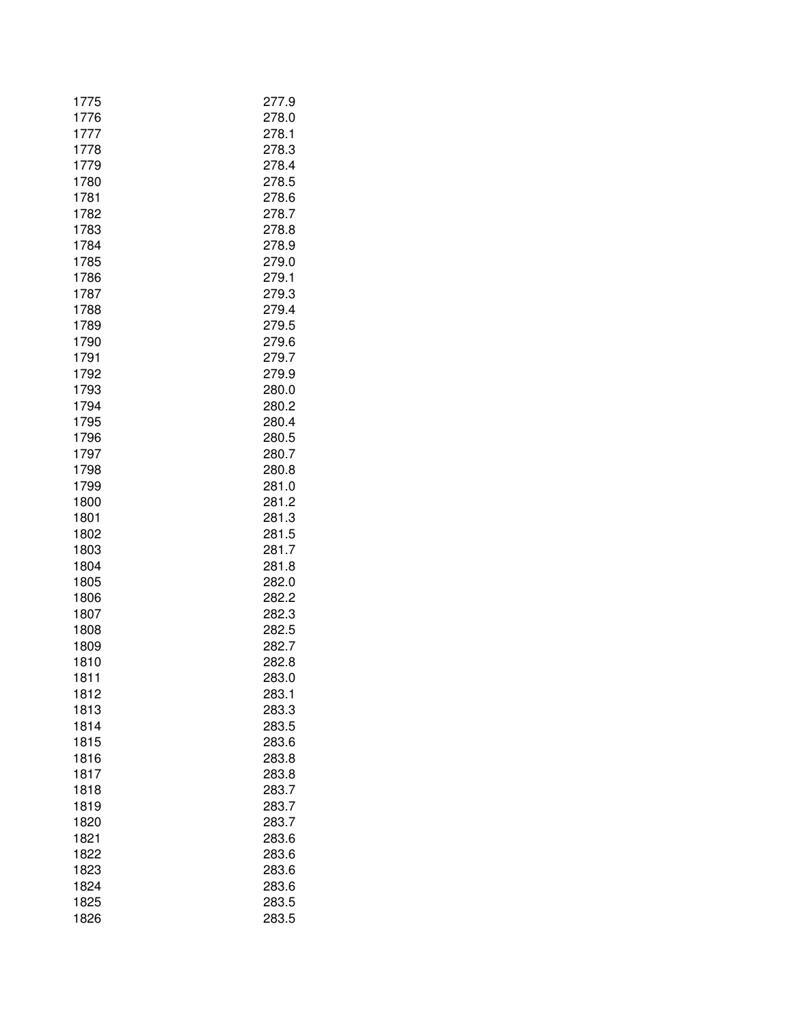| 1775 | 277.9 |
|------|-------|
| 1776 | 278.0 |
| 1777 | 278.1 |
| 1778 | 278.3 |
| 1779 | 278.4 |
| 1780 | 278.5 |
| 1781 | 278.6 |
| 1782 | 278.7 |
| 1783 | 278.8 |
| 1784 | 278.9 |
| 1785 | 279.0 |
| 1786 | 279.1 |
| 1787 | 279.3 |
| 1788 | 279.4 |
| 1789 | 279.5 |
| 1790 | 279.6 |
| 1791 | 279.7 |
| 1792 | 279.9 |
| 1793 | 280.0 |
| 1794 | 280.2 |
| 1795 | 280.4 |
| 1796 | 280.5 |
| 1797 | 280.7 |
| 1798 | 280.8 |
| 1799 | 281.0 |
| 1800 | 281.2 |
| 1801 | 281.3 |
| 1802 | 281.5 |
| 1803 | 281.7 |
| 1804 | 281.8 |
| 1805 | 282.0 |
| 1806 | 282.2 |
| 1807 | 282.3 |
| 1808 | 282.5 |
| 1809 | 282.7 |
| 1810 | 282.8 |
| 1811 | 283.0 |
| 1812 | 283.1 |
| 1813 | 283.3 |
| 1814 | 283.5 |
| 1815 | 283.6 |
| 1816 | 283.8 |
| 1817 | 283.8 |
| 1818 | 283.7 |
| 1819 | 283.7 |
| 1820 | 283.7 |
| 1821 | 283.6 |
| 1822 | 283.6 |
| 1823 | 283.6 |
| 1824 | 283.6 |
| 1825 | 283.5 |
| 1826 | 283.5 |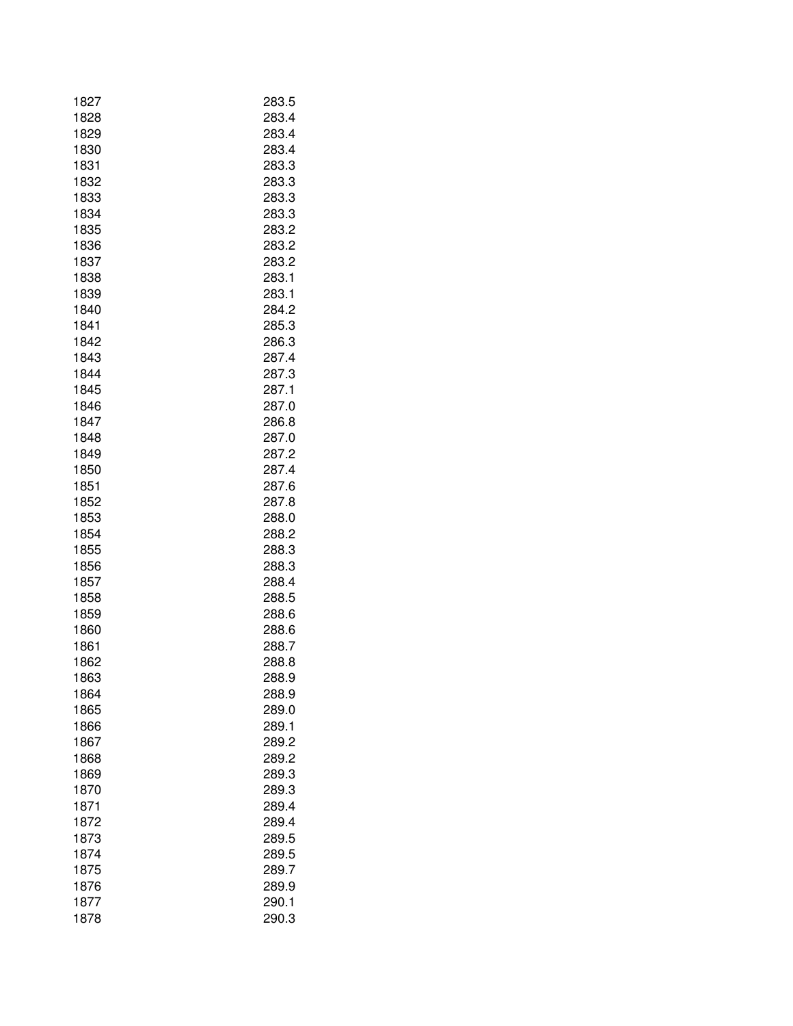| 1827 | 283.5 |
|------|-------|
| 1828 | 283.4 |
| 1829 | 283.4 |
| 1830 | 283.4 |
| 1831 | 283.3 |
| 1832 | 283.3 |
| 1833 | 283.3 |
| 1834 | 283.3 |
| 1835 | 283.2 |
| 1836 | 283.2 |
| 1837 | 283.2 |
| 1838 | 283.1 |
| 1839 | 283.1 |
| 1840 | 284.2 |
| 1841 | 285.3 |
| 1842 | 286.3 |
| 1843 | 287.4 |
| 1844 | 287.3 |
| 1845 | 287.1 |
| 1846 | 287.0 |
| 1847 | 286.8 |
| 1848 | 287.0 |
| 1849 | 287.2 |
| 1850 | 287.4 |
| 1851 | 287.6 |
| 1852 | 287.8 |
| 1853 | 288.0 |
| 1854 | 288.2 |
| 1855 | 288.3 |
| 1856 | 288.3 |
| 1857 | 288.4 |
| 1858 | 288.5 |
| 1859 | 288.6 |
| 1860 | 288.6 |
| 1861 | 288.7 |
| 1862 | 288.8 |
| 1863 | 288.9 |
| 1864 | 288.9 |
| 1865 | 289.0 |
| 1866 | 289.1 |
| 1867 | 289.2 |
| 1868 | 289.2 |
| 1869 | 289.3 |
| 1870 | 289.3 |
| 1871 | 289.4 |
| 1872 | 289.4 |
| 1873 | 289.5 |
| 1874 | 289.5 |
| 1875 | 289.7 |
| 1876 | 289.9 |
| 1877 | 290.1 |
| 1878 | 290.3 |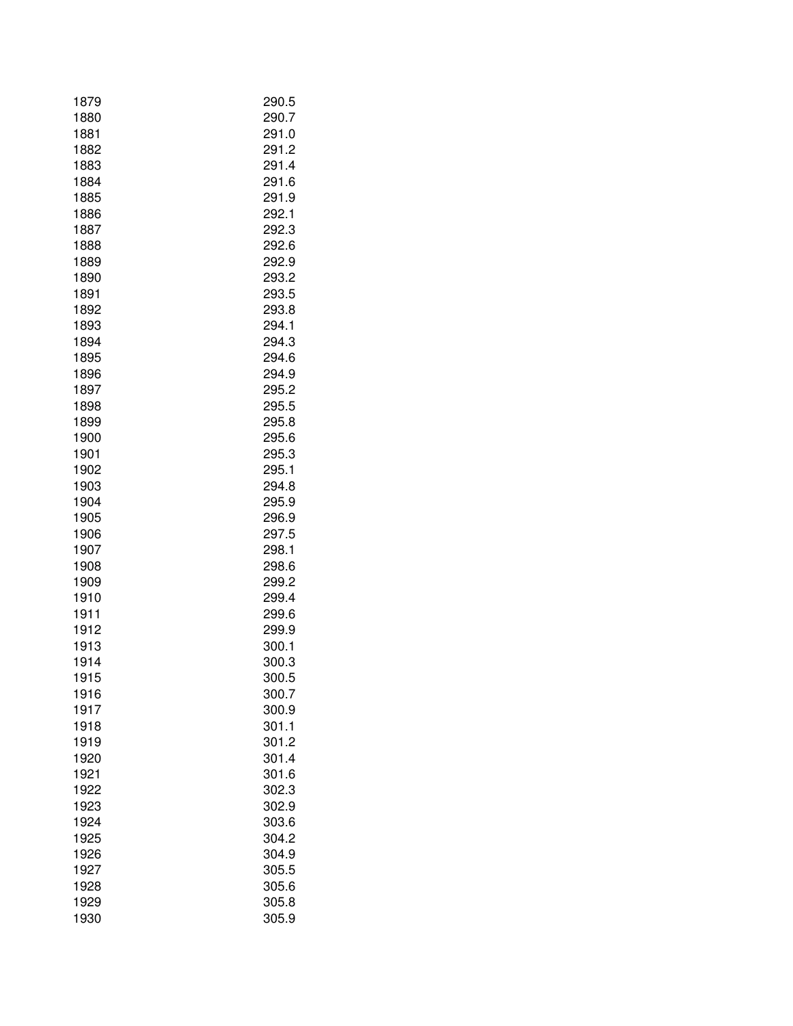| 1879 | 290.5 |
|------|-------|
| 1880 | 290.7 |
| 1881 | 291.0 |
| 1882 | 291.2 |
| 1883 | 291.4 |
| 1884 | 291.6 |
| 1885 | 291.9 |
| 1886 | 292.1 |
| 1887 | 292.3 |
| 1888 | 292.6 |
| 1889 | 292.9 |
| 1890 | 293.2 |
| 1891 | 293.5 |
| 1892 | 293.8 |
| 1893 | 294.1 |
| 1894 | 294.3 |
| 1895 | 294.6 |
| 1896 | 294.9 |
| 1897 | 295.2 |
| 1898 | 295.5 |
| 1899 | 295.8 |
| 1900 | 295.6 |
| 1901 | 295.3 |
| 1902 | 295.1 |
| 1903 | 294.8 |
| 1904 | 295.9 |
| 1905 | 296.9 |
| 1906 | 297.5 |
| 1907 | 298.1 |
| 1908 | 298.6 |
| 1909 | 299.2 |
| 1910 | 299.4 |
| 1911 | 299.6 |
| 1912 | 299.9 |
| 1913 | 300.1 |
| 1914 | 300.3 |
| 1915 | 300.5 |
| 1916 | 300.7 |
| 1917 | 300.9 |
| 1918 | 301.1 |
| 1919 | 301.2 |
| 1920 | 301.4 |
| 1921 | 301.6 |
| 1922 | 302.3 |
| 1923 | 302.9 |
| 1924 | 303.6 |
| 1925 | 304.2 |
| 1926 | 304.9 |
| 1927 | 305.5 |
| 1928 | 305.6 |
| 1929 | 305.8 |
| 1930 | 305.9 |
|      |       |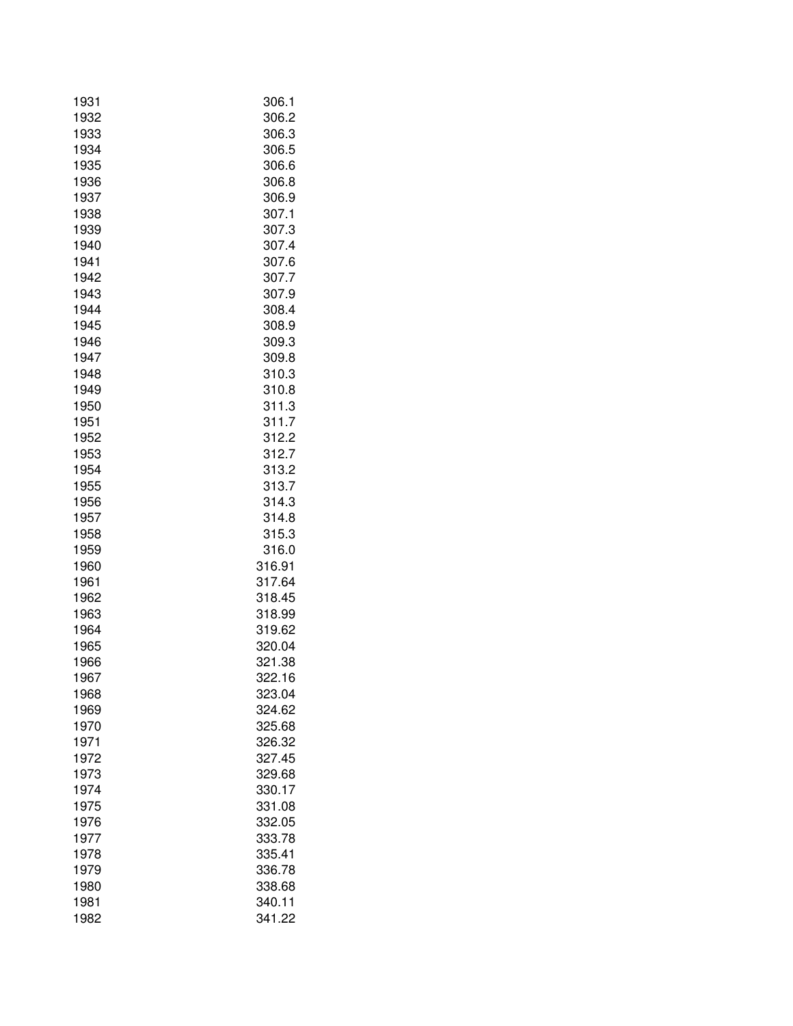| 1931         | 306.1            |
|--------------|------------------|
| 1932<br>1933 | 306.2<br>306.3   |
| 1934         | 306.5            |
| 1935         | 306.6            |
| 1936         | 306.8            |
| 1937         | 306.9            |
| 1938         | 307.1            |
| 1939         | 307.3            |
| 1940         | 307.4            |
| 1941         | 307.6            |
| 1942         | 307.7            |
| 1943         | 307.9            |
| 1944         | 308.4            |
| 1945         | 308.9            |
| 1946         | 309.3            |
| 1947         | 309.8            |
| 1948         | 310.3            |
| 1949         | 310.8            |
| 1950         | 311.3            |
| 1951         | 311.7            |
| 1952         | 312.2            |
| 1953         | 312.7            |
| 1954         | 313.2            |
| 1955         | 313.7            |
| 1956         | 314.3            |
| 1957         | 314.8            |
| 1958         | 315.3            |
| 1959         | 316.0            |
| 1960         | 316.91           |
| 1961         | 317.64           |
| 1962         | 318.45           |
| 1963         | 318.99           |
| 1964         | 319.62           |
| 1965         | 320.04           |
| 1966         | 321.38           |
| 1967         | 322.16           |
| 1968         | 323.04           |
| 1969         | 324.62           |
| 1970         | 325.68           |
| 1971         | 326.32           |
| 1972         | 327.45           |
| 1973         | 329.68           |
| 1974         | 330.17           |
| 1975         | 331.08           |
| 1976         | 332.05           |
| 1977         | 333.78           |
| 1978         | 335.41<br>336.78 |
| 1979         |                  |
| 1980<br>1981 | 338.68<br>340.11 |
| 1982         | 341.22           |
|              |                  |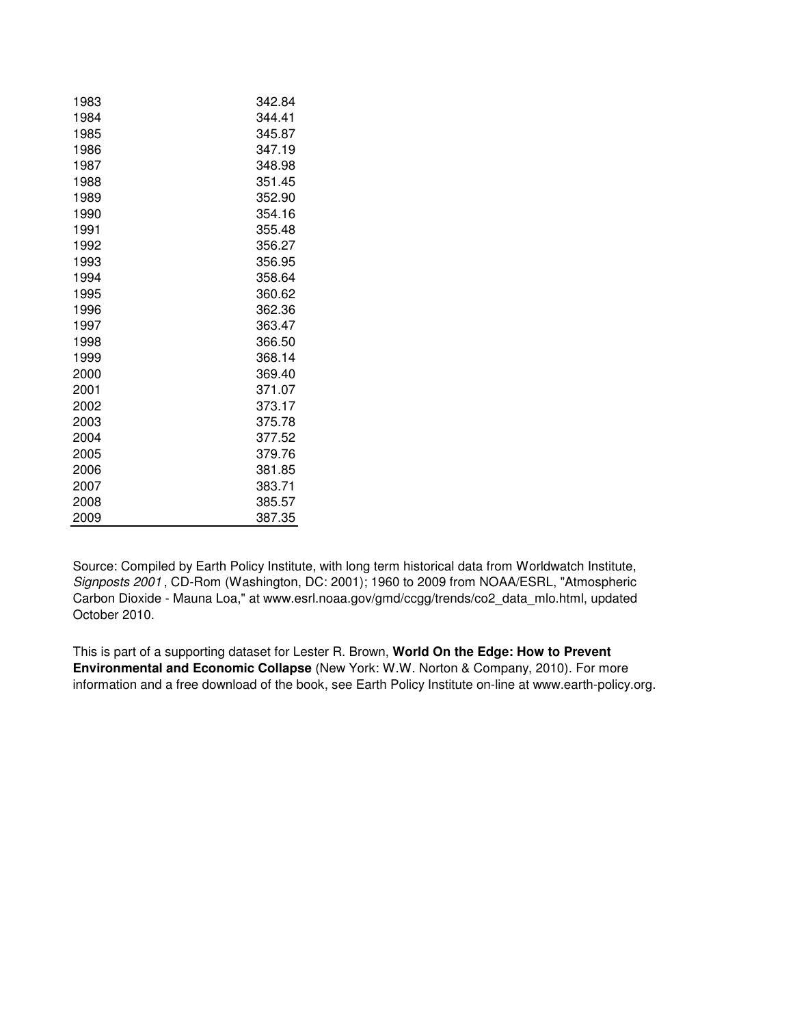| 1983 | 342.84 |
|------|--------|
| 1984 | 344.41 |
| 1985 | 345.87 |
| 1986 | 347.19 |
| 1987 | 348.98 |
| 1988 | 351.45 |
| 1989 | 352.90 |
| 1990 | 354.16 |
| 1991 | 355.48 |
| 1992 | 356.27 |
| 1993 | 356.95 |
| 1994 | 358.64 |
| 1995 | 360.62 |
| 1996 | 362.36 |
| 1997 | 363.47 |
| 1998 | 366.50 |
| 1999 | 368.14 |
| 2000 | 369.40 |
| 2001 | 371.07 |
| 2002 | 373.17 |
| 2003 | 375.78 |
| 2004 | 377.52 |
| 2005 | 379.76 |
| 2006 | 381.85 |
| 2007 | 383.71 |
| 2008 | 385.57 |
| 2009 | 387.35 |

Source: Compiled by Earth Policy Institute, with long term historical data from Worldwatch Institute, Signposts 2001 , CD-Rom (Washington, DC: 2001); 1960 to 2009 from NOAA/ESRL, "Atmospheric Carbon Dioxide - Mauna Loa," at www.esrl.noaa.gov/gmd/ccgg/trends/co2\_data\_mlo.html, updated October 2010.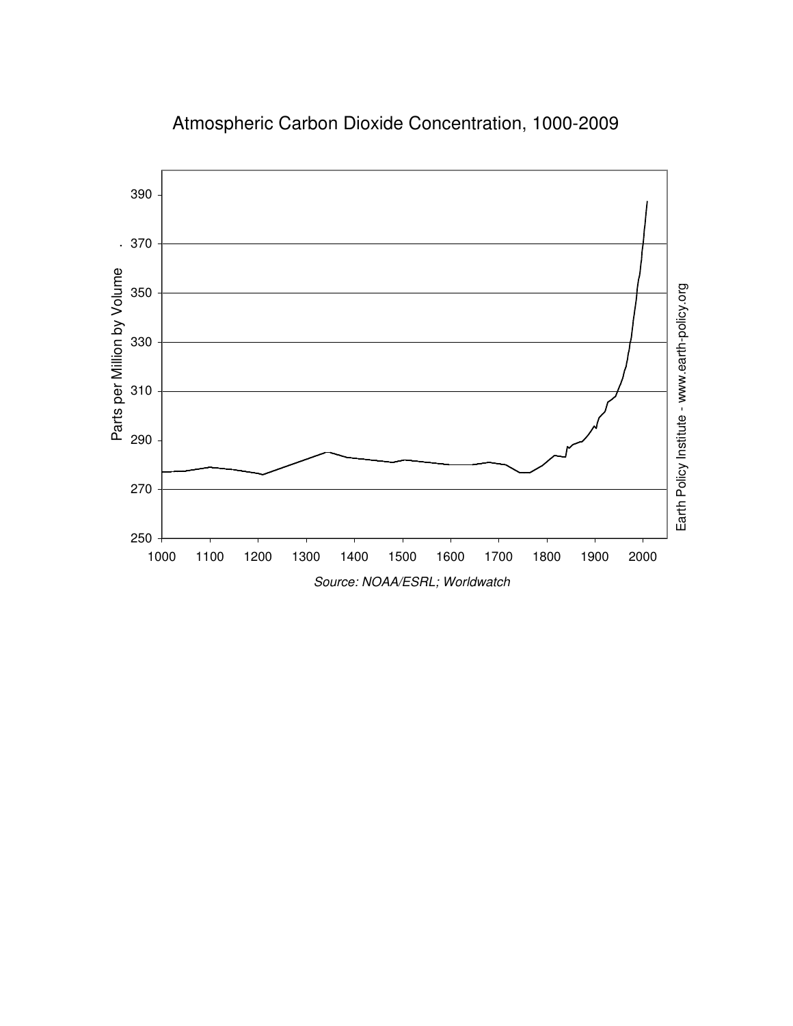

# Atmospheric Carbon Dioxide Concentration, 1000-2009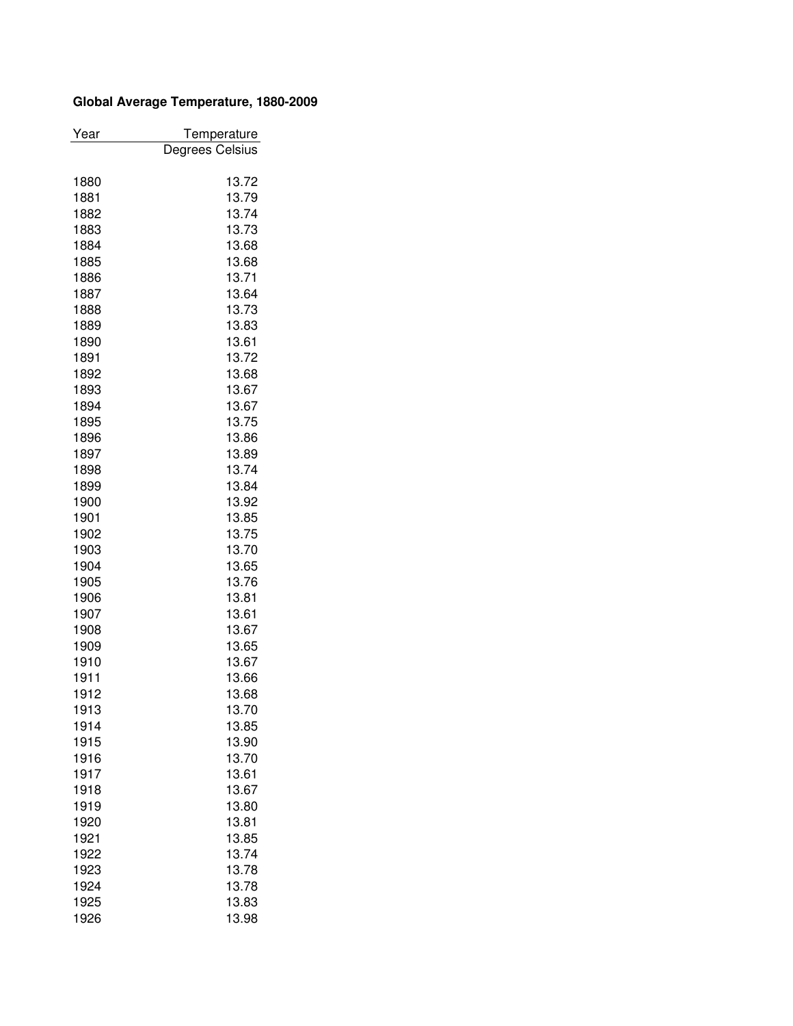# **Global Average Temperature, 1880-2009**

| Year | Temperature     |
|------|-----------------|
|      | Degrees Celsius |
|      |                 |
| 1880 | 13.72           |
| 1881 | 13.79           |
| 1882 | 13.74           |
| 1883 | 13.73           |
| 1884 | 13.68           |
| 1885 | 13.68           |
| 1886 | 13.71           |
| 1887 | 13.64           |
| 1888 | 13.73           |
| 1889 | 13.83           |
| 1890 | 13.61           |
| 1891 | 13.72           |
| 1892 | 13.68           |
| 1893 | 13.67           |
| 1894 | 13.67           |
| 1895 | 13.75           |
| 1896 | 13.86           |
| 1897 | 13.89           |
| 1898 | 13.74           |
| 1899 | 13.84           |
| 1900 | 13.92           |
| 1901 | 13.85           |
| 1902 | 13.75           |
| 1903 | 13.70           |
| 1904 | 13.65           |
| 1905 | 13.76           |
| 1906 | 13.81           |
| 1907 | 13.61           |
| 1908 | 13.67           |
| 1909 | 13.65           |
| 1910 | 13.67           |
| 1911 | 13.66           |
| 1912 | 13.68           |
| 1913 | 13.70           |
| 1914 | 13.85           |
| 1915 | 13.90           |
| 1916 | 13.70           |
| 1917 | 13.61           |
| 1918 | 13.67           |
| 1919 | 13.80           |
| 1920 | 13.81           |
| 1921 | 13.85           |
| 1922 | 13.74           |
| 1923 | 13.78           |
| 1924 | 13.78           |
| 1925 | 13.83           |
| 1926 | 13.98           |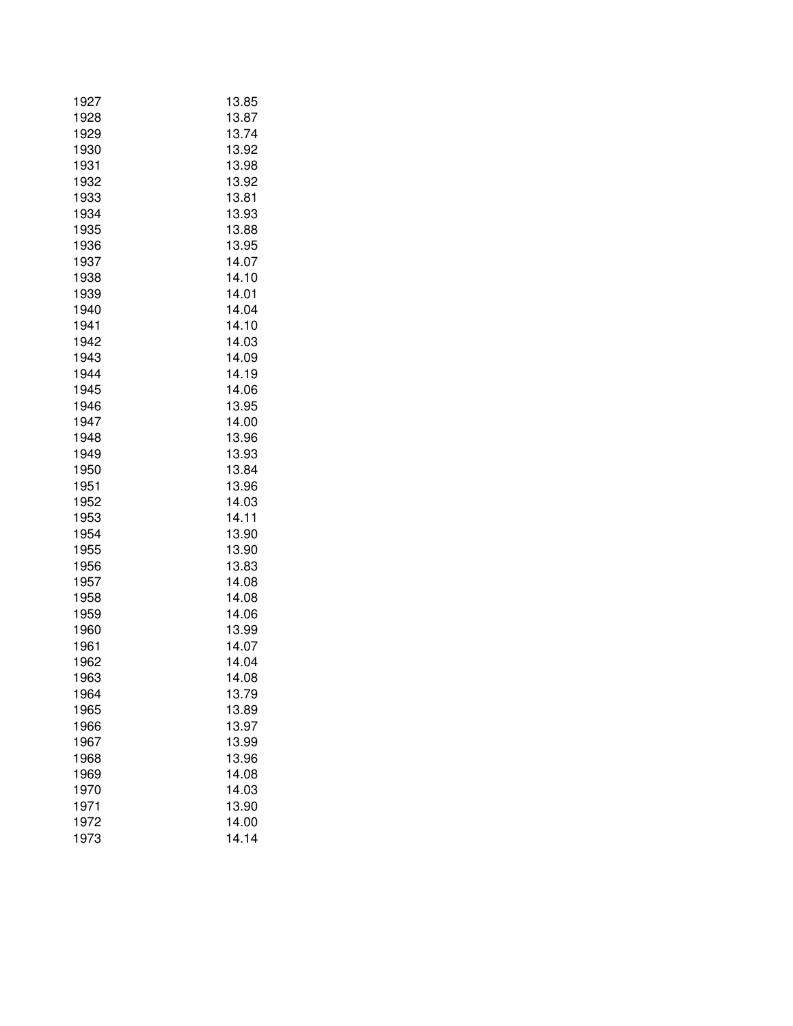| 1927         | 13.85          |
|--------------|----------------|
| 1928         | 13.87          |
| 1929         | 13.74          |
| 1930         | 13.92          |
| 1931         | 13.98          |
| 1932         | 13.92          |
| 1933         | 13.81          |
| 1934         | 13.93          |
| 1935         | 13.88          |
| 1936         | 13.95          |
| 1937         | 14.07          |
| 1938         | 14.10          |
| 1939         | 14.01          |
| 1940         | 14.04          |
| 1941         | 14.10          |
| 1942         | 14.03          |
| 1943         | 14.09          |
| 1944         | 14.19          |
| 1945         | 14.06          |
| 1946         | 13.95          |
| 1947         | 14.00          |
| 1948         | 13.96          |
| 1949         | 13.93          |
| 1950         | 13.84          |
| 1951         | 13.96          |
| 1952         | 14.03          |
| 1953         | 14.11          |
| 1954         | 13.90          |
| 1955         | 13.90          |
| 1956         | 13.83          |
| 1957         | 14.08          |
| 1958<br>1959 | 14.08<br>14.06 |
| 1960         | 13.99          |
| 1961         | 14.07          |
| 1962         | 14.04          |
| 1963         | 14.08          |
| 1964         | 13.79          |
| 1965         | 13.89          |
| 1966         | 13.97          |
| 1967         | 13.99          |
| 1968         | 13.96          |
| 1969         | 14.08          |
| 1970         | 14.03          |
| 1971         | 13.90          |
| 1972         | 14.00          |
| 1973         | 14.14          |
|              |                |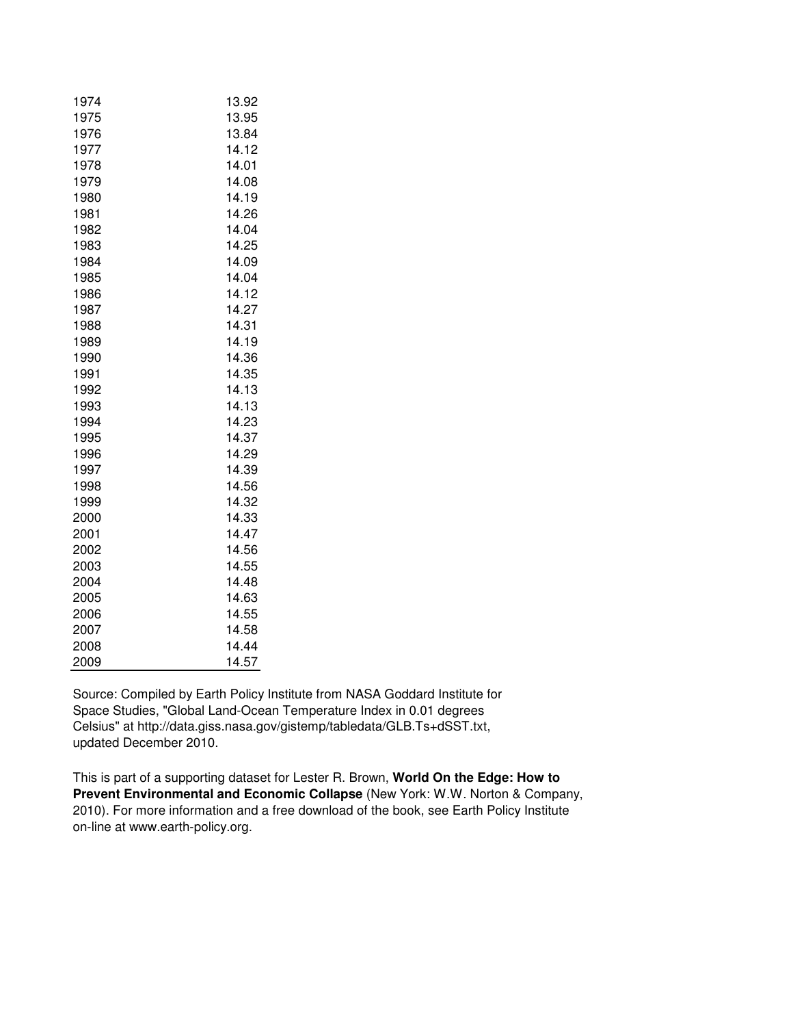| 1974 | 13.92 |
|------|-------|
| 1975 | 13.95 |
| 1976 | 13.84 |
| 1977 | 14.12 |
| 1978 | 14.01 |
| 1979 | 14.08 |
| 1980 | 14.19 |
| 1981 | 14.26 |
| 1982 | 14.04 |
| 1983 | 14.25 |
| 1984 | 14.09 |
| 1985 | 14.04 |
| 1986 | 14.12 |
| 1987 | 14.27 |
| 1988 | 14.31 |
| 1989 | 14.19 |
| 1990 | 14.36 |
| 1991 | 14.35 |
| 1992 | 14.13 |
| 1993 | 14.13 |
| 1994 | 14.23 |
| 1995 | 14.37 |
| 1996 | 14.29 |
| 1997 | 14.39 |
| 1998 | 14.56 |
| 1999 | 14.32 |
| 2000 | 14.33 |
| 2001 | 14.47 |
| 2002 | 14.56 |
| 2003 | 14.55 |
| 2004 | 14.48 |
| 2005 | 14.63 |
| 2006 | 14.55 |
| 2007 | 14.58 |
| 2008 | 14.44 |
| 2009 | 14.57 |

Source: Compiled by Earth Policy Institute from NASA Goddard Institute for Space Studies, "Global Land-Ocean Temperature Index in 0.01 degrees Celsius" at http://data.giss.nasa.gov/gistemp/tabledata/GLB.Ts+dSST.txt, updated December 2010.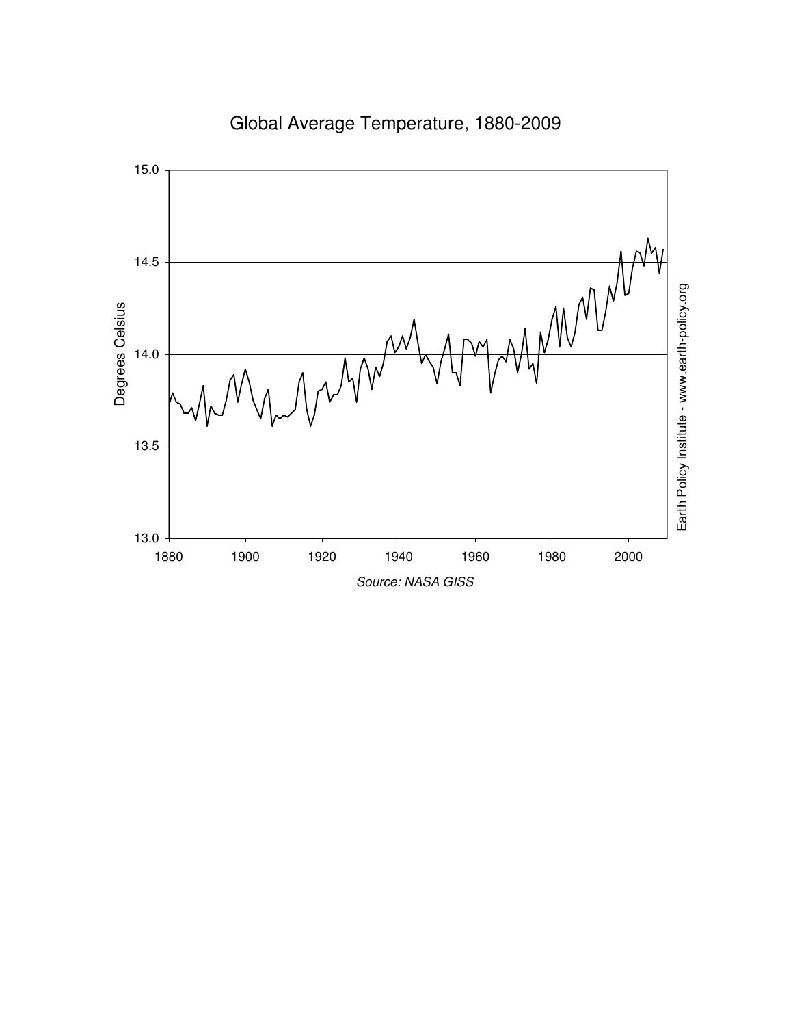

Global Average Temperature, 1880-2009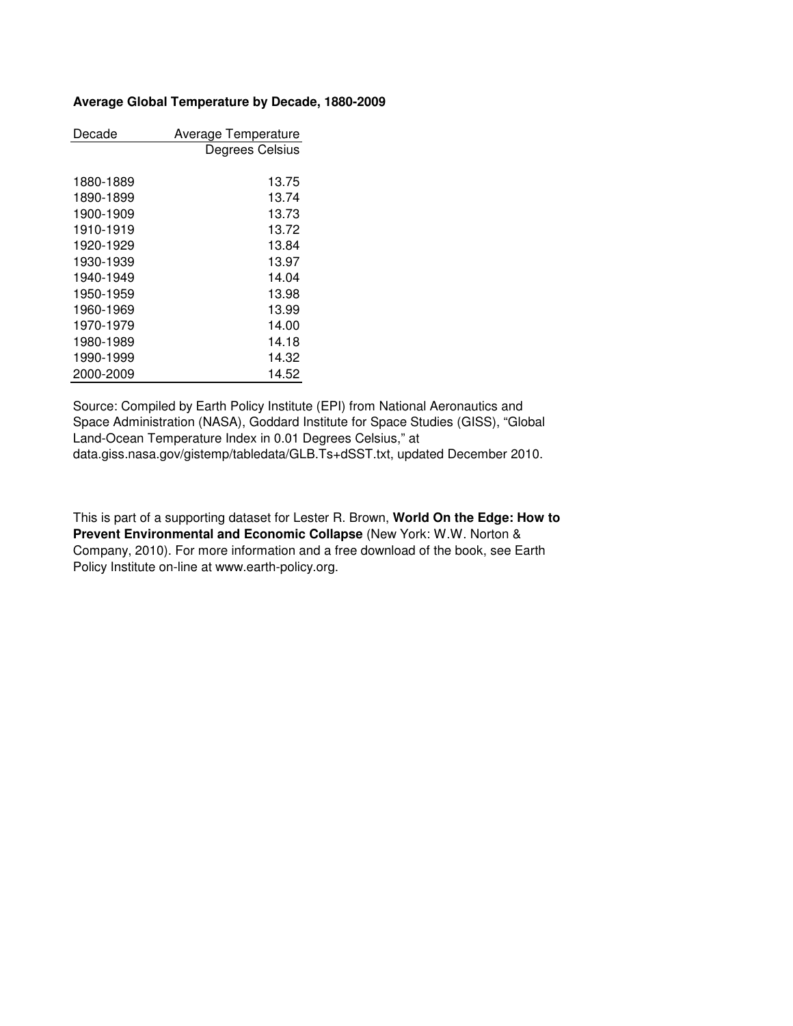# **Average Global Temperature by Decade, 1880-2009**

| Decade    | Average Temperature |
|-----------|---------------------|
|           | Degrees Celsius     |
|           |                     |
| 1880-1889 | 13.75               |
| 1890-1899 | 13.74               |
| 1900-1909 | 13.73               |
| 1910-1919 | 13.72               |
| 1920-1929 | 13.84               |
| 1930-1939 | 13.97               |
| 1940-1949 | 14.04               |
| 1950-1959 | 13.98               |
| 1960-1969 | 13.99               |
| 1970-1979 | 14.00               |
| 1980-1989 | 14.18               |
| 1990-1999 | 14.32               |
| 2000-2009 | 14.52               |

Source: Compiled by Earth Policy Institute (EPI) from National Aeronautics and Space Administration (NASA), Goddard Institute for Space Studies (GISS), "Global Land-Ocean Temperature Index in 0.01 Degrees Celsius," at data.giss.nasa.gov/gistemp/tabledata/GLB.Ts+dSST.txt, updated December 2010.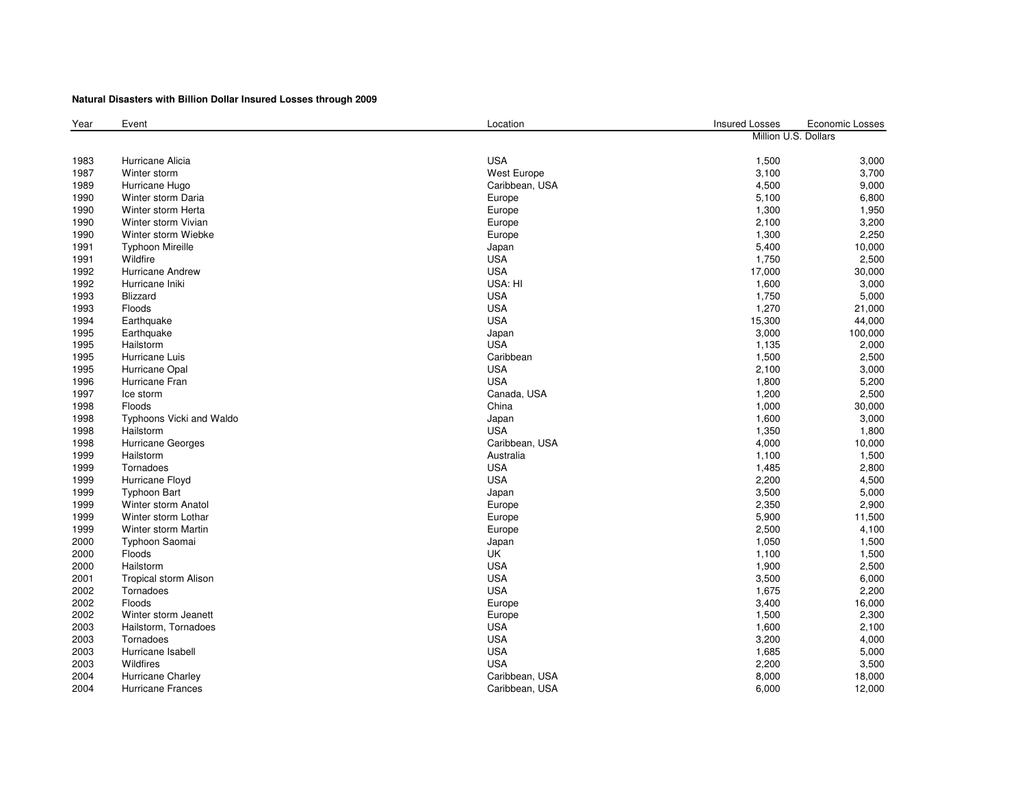#### **Natural Disasters with Billion Dollar Insured Losses through 2009**

| Year | Event                    | Location       | <b>Insured Losses</b> | Economic Losses |
|------|--------------------------|----------------|-----------------------|-----------------|
|      |                          |                | Million U.S. Dollars  |                 |
|      |                          |                |                       |                 |
| 1983 | Hurricane Alicia         | <b>USA</b>     | 1,500                 | 3,000           |
| 1987 | Winter storm             | West Europe    | 3,100                 | 3,700           |
| 1989 | Hurricane Hugo           | Caribbean, USA | 4,500                 | 9,000           |
| 1990 | Winter storm Daria       | Europe         | 5,100                 | 6,800           |
| 1990 | Winter storm Herta       | Europe         | 1,300                 | 1,950           |
| 1990 | Winter storm Vivian      | Europe         | 2,100                 | 3,200           |
| 1990 | Winter storm Wiebke      | Europe         | 1,300                 | 2,250           |
| 1991 | <b>Typhoon Mireille</b>  | Japan          | 5,400                 | 10,000          |
| 1991 | Wildfire                 | <b>USA</b>     | 1,750                 | 2,500           |
| 1992 | Hurricane Andrew         | <b>USA</b>     | 17,000                | 30,000          |
| 1992 | Hurricane Iniki          | USA: HI        | 1,600                 | 3,000           |
| 1993 | Blizzard                 | <b>USA</b>     | 1,750                 | 5,000           |
| 1993 | Floods                   | <b>USA</b>     | 1,270                 | 21,000          |
| 1994 | Earthquake               | <b>USA</b>     | 15,300                | 44,000          |
| 1995 | Earthquake               | Japan          | 3,000                 | 100,000         |
| 1995 | Hailstorm                | <b>USA</b>     | 1,135                 | 2,000           |
| 1995 | Hurricane Luis           | Caribbean      | 1,500                 | 2,500           |
| 1995 | Hurricane Opal           | <b>USA</b>     | 2,100                 | 3,000           |
| 1996 | Hurricane Fran           | <b>USA</b>     | 1,800                 | 5,200           |
| 1997 | Ice storm                | Canada, USA    | 1,200                 | 2,500           |
| 1998 | <b>Floods</b>            | China          | 1,000                 | 30,000          |
| 1998 | Typhoons Vicki and Waldo | Japan          | 1,600                 | 3,000           |
| 1998 | Hailstorm                | <b>USA</b>     | 1,350                 | 1,800           |
| 1998 | Hurricane Georges        | Caribbean, USA | 4,000                 | 10,000          |
| 1999 | Hailstorm                | Australia      | 1,100                 | 1,500           |
| 1999 | Tornadoes                | <b>USA</b>     | 1,485                 | 2,800           |
| 1999 | Hurricane Floyd          | <b>USA</b>     | 2,200                 | 4,500           |
| 1999 | <b>Typhoon Bart</b>      | Japan          | 3,500                 | 5,000           |
| 1999 | Winter storm Anatol      | Europe         | 2,350                 | 2,900           |
| 1999 | Winter storm Lothar      | Europe         | 5,900                 | 11,500          |
| 1999 | Winter storm Martin      | Europe         | 2,500                 | 4,100           |
| 2000 | Typhoon Saomai           | Japan          | 1,050                 | 1,500           |
| 2000 | Floods                   | <b>UK</b>      | 1,100                 | 1,500           |
| 2000 | Hailstorm                | <b>USA</b>     | 1,900                 | 2,500           |
| 2001 | Tropical storm Alison    | <b>USA</b>     | 3,500                 | 6,000           |
| 2002 | Tornadoes                | <b>USA</b>     | 1,675                 | 2,200           |
| 2002 | Floods                   | Europe         | 3,400                 | 16,000          |
| 2002 | Winter storm Jeanett     | Europe         | 1,500                 | 2,300           |
| 2003 | Hailstorm, Tornadoes     | <b>USA</b>     | 1,600                 | 2,100           |
| 2003 | Tornadoes                | <b>USA</b>     | 3,200                 | 4,000           |
| 2003 | Hurricane Isabell        | <b>USA</b>     | 1,685                 | 5,000           |
| 2003 | Wildfires                | <b>USA</b>     | 2,200                 | 3,500           |
| 2004 | Hurricane Charley        | Caribbean, USA | 8,000                 | 18,000          |
| 2004 | <b>Hurricane Frances</b> | Caribbean, USA | 6,000                 | 12,000          |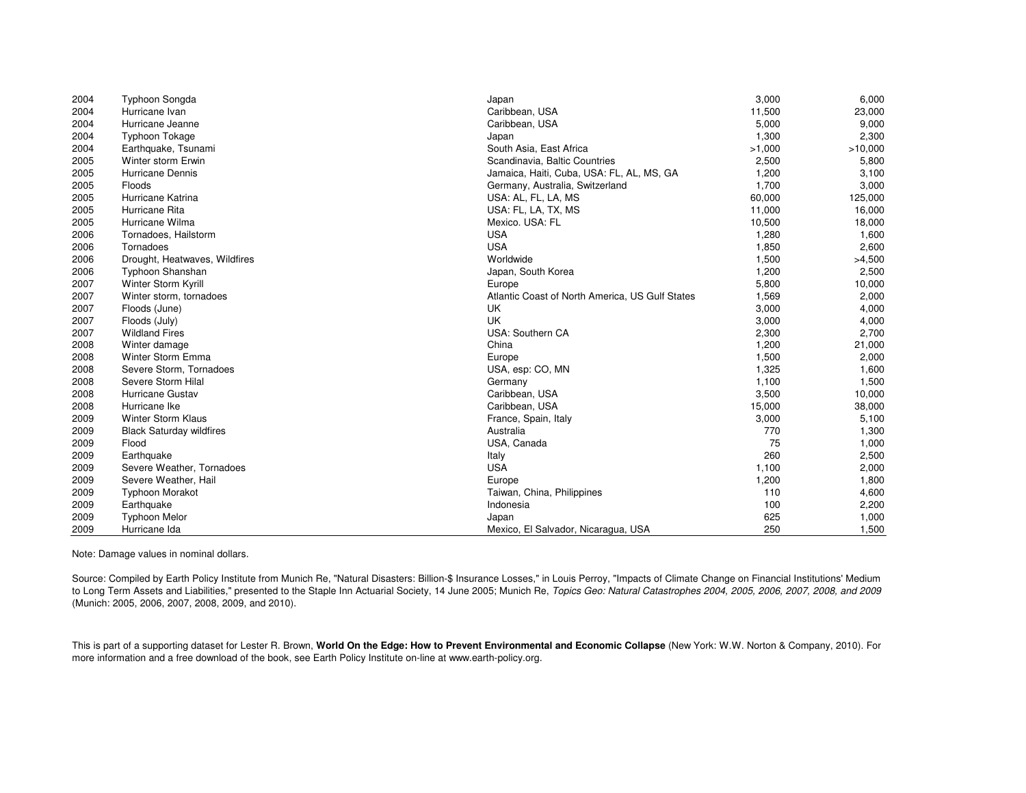| 2004 | <b>Typhoon Songda</b>           | Japan                                           | 3,000  | 6,000   |
|------|---------------------------------|-------------------------------------------------|--------|---------|
| 2004 | Hurricane Ivan                  | Caribbean, USA                                  | 11,500 | 23,000  |
| 2004 | Hurricane Jeanne                | Caribbean, USA                                  | 5,000  | 9,000   |
| 2004 | <b>Typhoon Tokage</b>           | Japan                                           | 1,300  | 2,300   |
| 2004 | Earthquake, Tsunami             | South Asia, East Africa                         | >1,000 | >10,000 |
| 2005 | Winter storm Erwin              | Scandinavia, Baltic Countries                   | 2,500  | 5,800   |
| 2005 | Hurricane Dennis                | Jamaica, Haiti, Cuba, USA: FL, AL, MS, GA       | 1,200  | 3,100   |
| 2005 | Floods                          | Germany, Australia, Switzerland                 | 1,700  | 3,000   |
| 2005 | Hurricane Katrina               | USA: AL, FL, LA, MS                             | 60,000 | 125,000 |
| 2005 | Hurricane Rita                  | USA: FL, LA, TX, MS                             | 11,000 | 16,000  |
| 2005 | Hurricane Wilma                 | Mexico. USA: FL                                 | 10,500 | 18,000  |
| 2006 | Tornadoes, Hailstorm            | <b>USA</b>                                      | 1,280  | 1,600   |
| 2006 | Tornadoes                       | <b>USA</b>                                      | 1,850  | 2,600   |
| 2006 | Drought, Heatwaves, Wildfires   | Worldwide                                       | 1,500  | >4,500  |
| 2006 | Typhoon Shanshan                | Japan, South Korea                              | 1,200  | 2,500   |
| 2007 | Winter Storm Kyrill             | Europe                                          | 5,800  | 10,000  |
| 2007 | Winter storm, tornadoes         | Atlantic Coast of North America, US Gulf States | 1,569  | 2,000   |
| 2007 | Floods (June)                   | UK                                              | 3,000  | 4,000   |
| 2007 | Floods (July)                   | UK                                              | 3,000  | 4,000   |
| 2007 | <b>Wildland Fires</b>           | USA: Southern CA                                | 2,300  | 2,700   |
| 2008 | Winter damage                   | China                                           | 1,200  | 21,000  |
| 2008 | Winter Storm Emma               | Europe                                          | 1,500  | 2,000   |
| 2008 | Severe Storm, Tornadoes         | USA, esp: CO, MN                                | 1,325  | 1,600   |
| 2008 | Severe Storm Hilal              | Germany                                         | 1,100  | 1,500   |
| 2008 | Hurricane Gustav                | Caribbean, USA                                  | 3,500  | 10,000  |
| 2008 | Hurricane Ike                   | Caribbean, USA                                  | 15,000 | 38,000  |
| 2009 | <b>Winter Storm Klaus</b>       | France, Spain, Italy                            | 3,000  | 5,100   |
| 2009 | <b>Black Saturday wildfires</b> | Australia                                       | 770    | 1,300   |
| 2009 | Flood                           | USA, Canada                                     | 75     | 1,000   |
| 2009 | Earthquake                      | Italy                                           | 260    | 2,500   |
| 2009 | Severe Weather, Tornadoes       | <b>USA</b>                                      | 1,100  | 2,000   |
| 2009 | Severe Weather, Hail            | Europe                                          | 1,200  | 1,800   |
| 2009 | <b>Typhoon Morakot</b>          | Taiwan, China, Philippines                      | 110    | 4,600   |
| 2009 | Earthquake                      | Indonesia                                       | 100    | 2,200   |
| 2009 | <b>Typhoon Melor</b>            | Japan                                           | 625    | 1,000   |
| 2009 | Hurricane Ida                   | Mexico, El Salvador, Nicaragua, USA             | 250    | 1,500   |

Note: Damage values in nominal dollars.

Source: Compiled by Earth Policy Institute from Munich Re, "Natural Disasters: Billion-\$ Insurance Losses," in Louis Perroy, "Impacts of Climate Change on Financial Institutions' Medium to Long Term Assets and Liabilities," presented to the Staple Inn Actuarial Society, 14 June 2005; Munich Re, Topics Geo: Natural Catastrophes 2004, 2005, 2006, 2007, 2008, and 2009 (Munich: 2005, 2006, 2007, 2008, 2009, and 2010).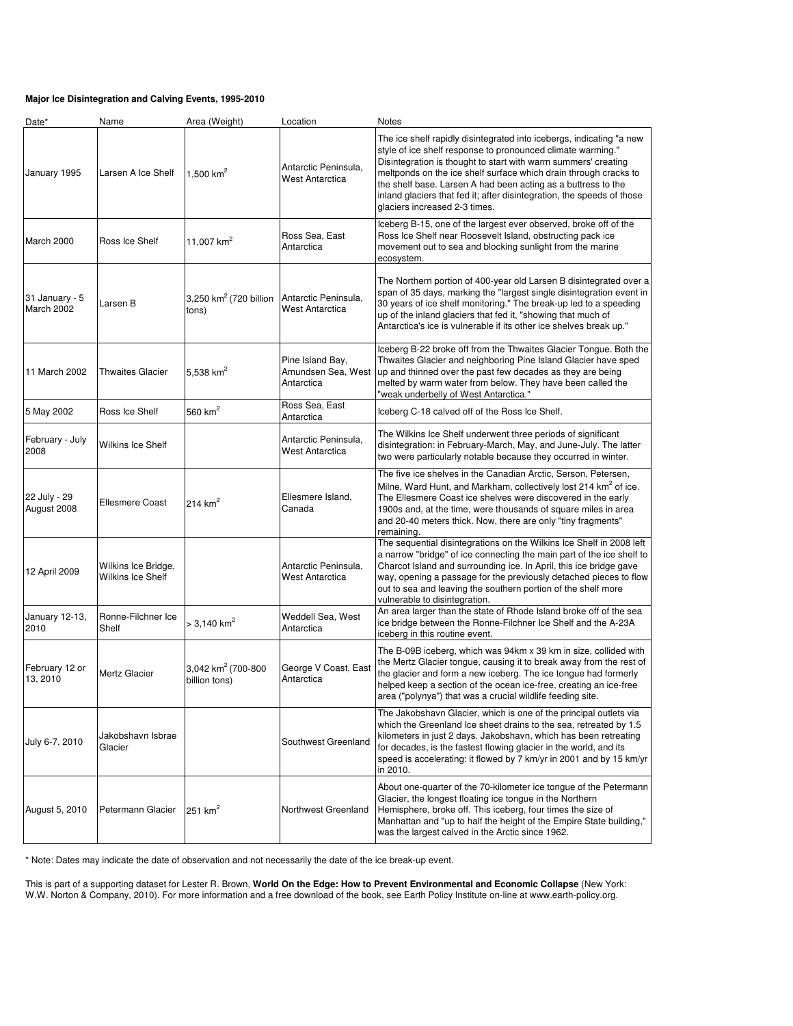#### **Major Ice Disintegration and Calving Events, 1995-2010**

| Date*                        | Name                                     | Area (Weight)                                   | Location                                             | Notes                                                                                                                                                                                                                                                                                                                                                                                                                                                 |
|------------------------------|------------------------------------------|-------------------------------------------------|------------------------------------------------------|-------------------------------------------------------------------------------------------------------------------------------------------------------------------------------------------------------------------------------------------------------------------------------------------------------------------------------------------------------------------------------------------------------------------------------------------------------|
| January 1995                 | Larsen A Ice Shelf                       | 1,500 $km^2$                                    | Antarctic Peninsula,<br>West Antarctica              | The ice shelf rapidly disintegrated into icebergs, indicating "a new<br>style of ice shelf response to pronounced climate warming."<br>Disintegration is thought to start with warm summers' creating<br>meltponds on the ice shelf surface which drain through cracks to<br>the shelf base. Larsen A had been acting as a buttress to the<br>inland glaciers that fed it; after disintegration, the speeds of those<br>glaciers increased 2-3 times. |
| March 2000                   | Ross Ice Shelf                           | 11,007 $km^2$                                   | Ross Sea, East<br>Antarctica                         | Iceberg B-15, one of the largest ever observed, broke off of the<br>Ross Ice Shelf near Roosevelt Island, obstructing pack ice<br>movement out to sea and blocking sunlight from the marine<br>ecosystem.                                                                                                                                                                                                                                             |
| 31 January - 5<br>March 2002 | Larsen B                                 | 3,250 km <sup>2</sup> (720 billion<br>tons)     | Antarctic Peninsula.<br><b>West Antarctica</b>       | The Northern portion of 400-year old Larsen B disintegrated over a<br>span of 35 days, marking the "largest single disintegration event in<br>30 years of ice shelf monitoring." The break-up led to a speeding<br>up of the inland glaciers that fed it, "showing that much of<br>Antarctica's ice is vulnerable if its other ice shelves break up."                                                                                                 |
| 11 March 2002                | <b>Thwaites Glacier</b>                  | 5,538 $km^2$                                    | Pine Island Bay,<br>Amundsen Sea, West<br>Antarctica | Iceberg B-22 broke off from the Thwaites Glacier Tongue. Both the<br>Thwaites Glacier and neighboring Pine Island Glacier have sped<br>up and thinned over the past few decades as they are being<br>melted by warm water from below. They have been called the<br>"weak underbelly of West Antarctica."                                                                                                                                              |
| 5 May 2002                   | Ross Ice Shelf                           | 560 $km2$                                       | Ross Sea, East<br>Antarctica                         | Iceberg C-18 calved off of the Ross Ice Shelf.                                                                                                                                                                                                                                                                                                                                                                                                        |
| February - July<br>2008      | Wilkins Ice Shelf                        |                                                 | Antarctic Peninsula,<br><b>West Antarctica</b>       | The Wilkins Ice Shelf underwent three periods of significant<br>disintegration: in February-March, May, and June-July. The latter<br>two were particularly notable because they occurred in winter.                                                                                                                                                                                                                                                   |
| 22 July - 29<br>August 2008  | <b>Ellesmere Coast</b>                   | 214 $km2$                                       | Ellesmere Island,<br>Canada                          | The five ice shelves in the Canadian Arctic, Serson, Petersen,<br>Milne, Ward Hunt, and Markham, collectively lost 214 km <sup>2</sup> of ice.<br>The Ellesmere Coast ice shelves were discovered in the early<br>1900s and, at the time, were thousands of square miles in area<br>and 20-40 meters thick. Now, there are only "tiny fragments"<br>remaining.                                                                                        |
| 12 April 2009                | Wilkins Ice Bridge,<br>Wilkins Ice Shelf |                                                 | Antarctic Peninsula,<br>West Antarctica              | The sequential disintegrations on the Wilkins Ice Shelf in 2008 left<br>a narrow "bridge" of ice connecting the main part of the ice shelf to<br>Charcot Island and surrounding ice. In April, this ice bridge gave<br>way, opening a passage for the previously detached pieces to flow<br>out to sea and leaving the southern portion of the shelf more<br>vulnerable to disintegration.                                                            |
| January 12-13,<br>2010       | Ronne-Filchner Ice<br>Shelf              | $>$ 3,140 km <sup>2</sup>                       | Weddell Sea, West<br>Antarctica                      | An area larger than the state of Rhode Island broke off of the sea<br>ice bridge between the Ronne-Filchner Ice Shelf and the A-23A<br>iceberg in this routine event.                                                                                                                                                                                                                                                                                 |
| February 12 or<br>13, 2010   | Mertz Glacier                            | 3,042 km <sup>2</sup> (700-800<br>billion tons) | George V Coast, East<br>Antarctica                   | The B-09B iceberg, which was 94km x 39 km in size, collided with<br>the Mertz Glacier tongue, causing it to break away from the rest of<br>the glacier and form a new iceberg. The ice tongue had formerly<br>helped keep a section of the ocean ice-free, creating an ice-free<br>area ("polynya") that was a crucial wildlife feeding site.                                                                                                         |
| July 6-7, 2010               | Jakobshavn Isbrae<br>Glacier             |                                                 | Southwest Greenland                                  | The Jakobshavn Glacier, which is one of the principal outlets via<br>which the Greenland Ice sheet drains to the sea, retreated by 1.5<br>kilometers in just 2 days. Jakobshavn, which has been retreating<br>for decades, is the fastest flowing glacier in the world, and its<br>speed is accelerating: it flowed by 7 km/yr in 2001 and by 15 km/yr<br>in 2010.                                                                                    |
| August 5, 2010               | Petermann Glacier                        | 251 $km2$                                       | Northwest Greenland                                  | About one-quarter of the 70-kilometer ice tongue of the Petermann<br>Glacier, the longest floating ice tongue in the Northern<br>Hemisphere, broke off. This iceberg, four times the size of<br>Manhattan and "up to half the height of the Empire State building,"<br>was the largest calved in the Arctic since 1962.                                                                                                                               |

\* Note: Dates may indicate the date of observation and not necessarily the date of the ice break-up event.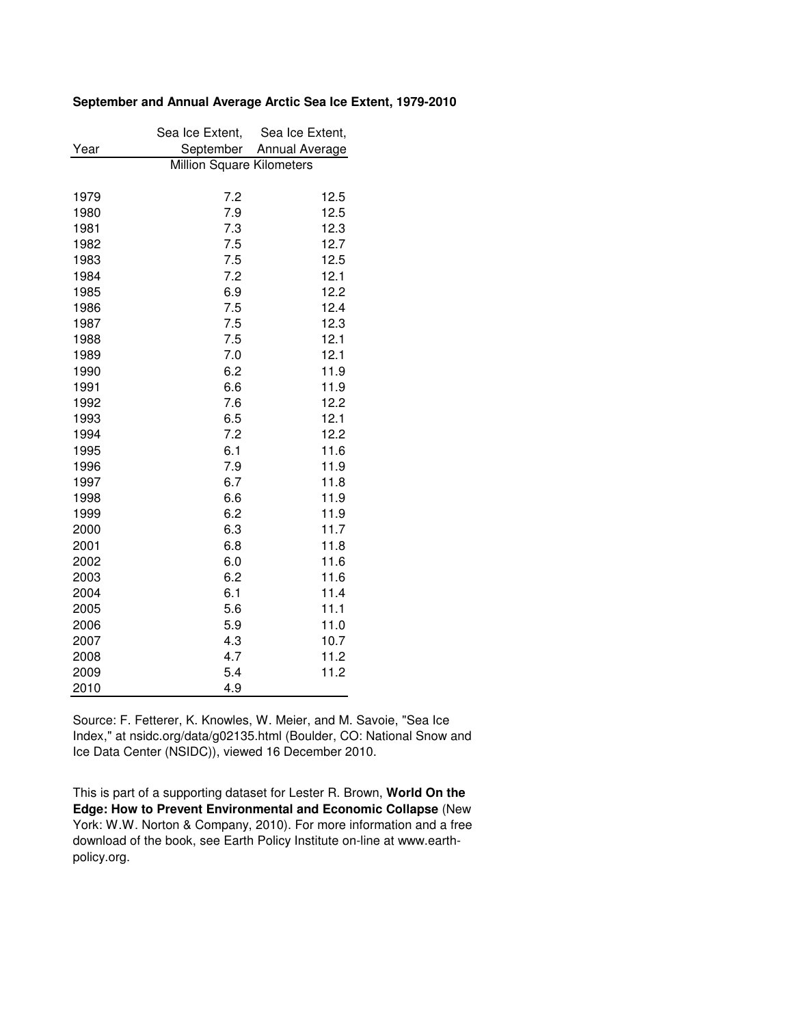# **September and Annual Average Arctic Sea Ice Extent, 1979-2010**

|      | Sea Ice Extent,           | Sea Ice Extent, |  |
|------|---------------------------|-----------------|--|
| Year | September                 | Annual Average  |  |
|      | Million Square Kilometers |                 |  |
| 1979 | 7.2                       | 12.5            |  |
| 1980 | 7.9                       | 12.5            |  |
| 1981 | 7.3                       | 12.3            |  |
| 1982 | 7.5                       | 12.7            |  |
| 1983 | 7.5                       | 12.5            |  |
| 1984 | 7.2                       | 12.1            |  |
| 1985 | 6.9                       | 12.2            |  |
| 1986 | 7.5                       | 12.4            |  |
| 1987 | 7.5                       | 12.3            |  |
| 1988 | 7.5                       | 12.1            |  |
| 1989 | 7.0                       | 12.1            |  |
| 1990 | 6.2                       | 11.9            |  |
| 1991 | 6.6                       | 11.9            |  |
| 1992 | 7.6                       | 12.2            |  |
| 1993 | 6.5                       | 12.1            |  |
| 1994 | 7.2                       | 12.2            |  |
| 1995 | 6.1                       | 11.6            |  |
| 1996 | 7.9                       | 11.9            |  |
| 1997 | 6.7                       | 11.8            |  |
| 1998 | 6.6                       | 11.9            |  |
| 1999 | 6.2                       | 11.9            |  |
| 2000 | 6.3                       | 11.7            |  |
| 2001 | 6.8                       | 11.8            |  |
| 2002 | 6.0                       | 11.6            |  |
| 2003 | 6.2                       | 11.6            |  |
| 2004 | 6.1                       | 11.4            |  |
| 2005 | 5.6                       | 11.1            |  |
| 2006 | 5.9                       | 11.0            |  |
| 2007 | 4.3                       | 10.7            |  |
| 2008 | 4.7                       | 11.2            |  |
| 2009 | 5.4                       | 11.2            |  |
| 2010 | 4.9                       |                 |  |

Source: F. Fetterer, K. Knowles, W. Meier, and M. Savoie, "Sea Ice Index," at nsidc.org/data/g02135.html (Boulder, CO: National Snow and Ice Data Center (NSIDC)), viewed 16 December 2010.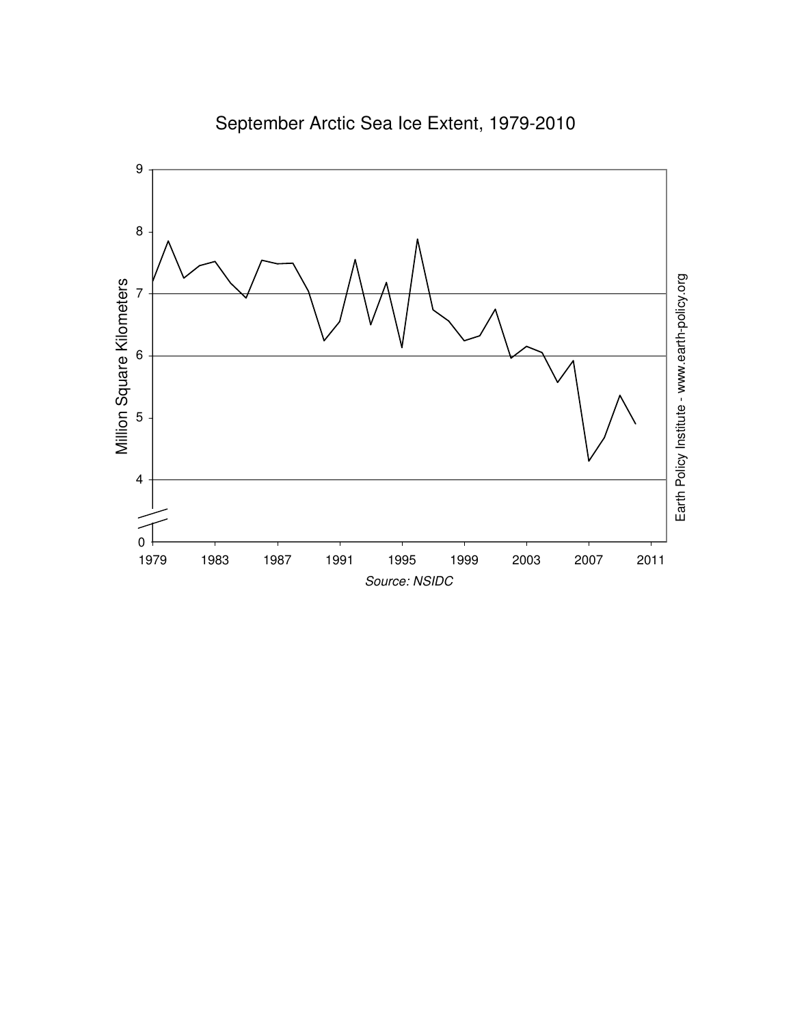

# September Arctic Sea Ice Extent, 1979-2010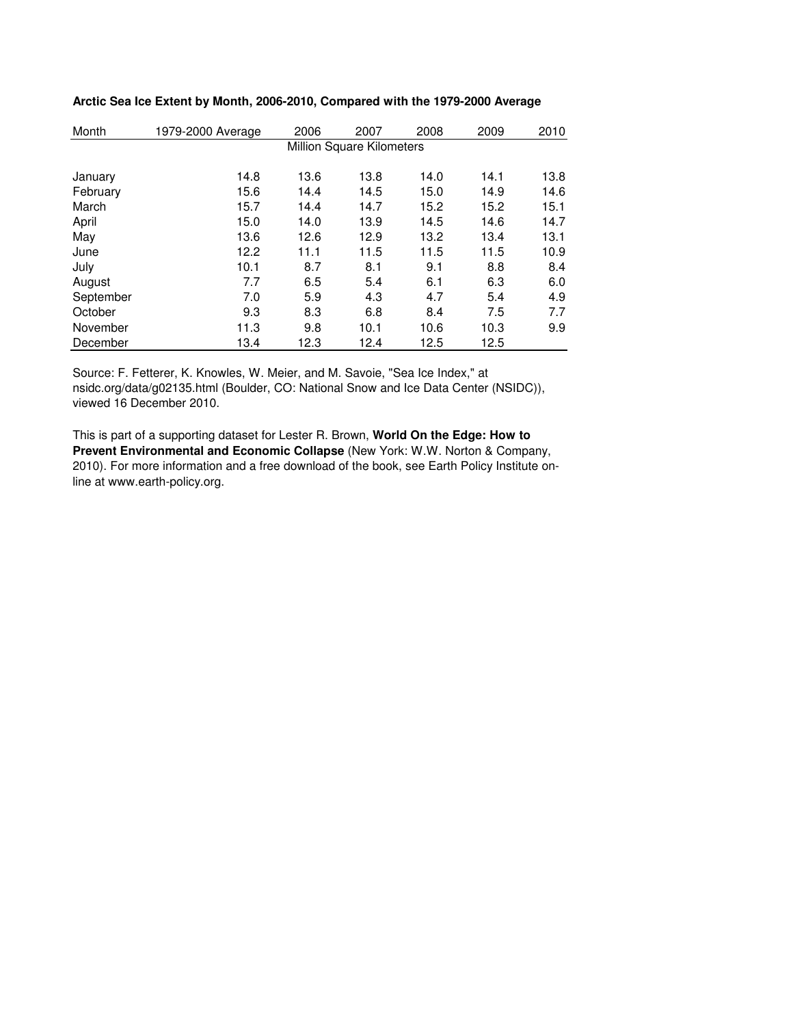| Month     | 1979-2000 Average | 2006 | 2007                      | 2008 | 2009 | 2010 |
|-----------|-------------------|------|---------------------------|------|------|------|
|           |                   |      | Million Square Kilometers |      |      |      |
|           |                   |      |                           |      |      |      |
| January   | 14.8              | 13.6 | 13.8                      | 14.0 | 14.1 | 13.8 |
| February  | 15.6              | 14.4 | 14.5                      | 15.0 | 14.9 | 14.6 |
| March     | 15.7              | 14.4 | 14.7                      | 15.2 | 15.2 | 15.1 |
| April     | 15.0              | 14.0 | 13.9                      | 14.5 | 14.6 | 14.7 |
| May       | 13.6              | 12.6 | 12.9                      | 13.2 | 13.4 | 13.1 |
| June      | 12.2              | 11.1 | 11.5                      | 11.5 | 11.5 | 10.9 |
| July      | 10.1              | 8.7  | 8.1                       | 9.1  | 8.8  | 8.4  |
| August    | 7.7               | 6.5  | 5.4                       | 6.1  | 6.3  | 6.0  |
| September | 7.0               | 5.9  | 4.3                       | 4.7  | 5.4  | 4.9  |
| October   | 9.3               | 8.3  | 6.8                       | 8.4  | 7.5  | 7.7  |
| November  | 11.3              | 9.8  | 10.1                      | 10.6 | 10.3 | 9.9  |
| December  | 13.4              | 12.3 | 12.4                      | 12.5 | 12.5 |      |

# **Arctic Sea Ice Extent by Month, 2006-2010, Compared with the 1979-2000 Average**

Source: F. Fetterer, K. Knowles, W. Meier, and M. Savoie, "Sea Ice Index," at nsidc.org/data/g02135.html (Boulder, CO: National Snow and Ice Data Center (NSIDC)), viewed 16 December 2010.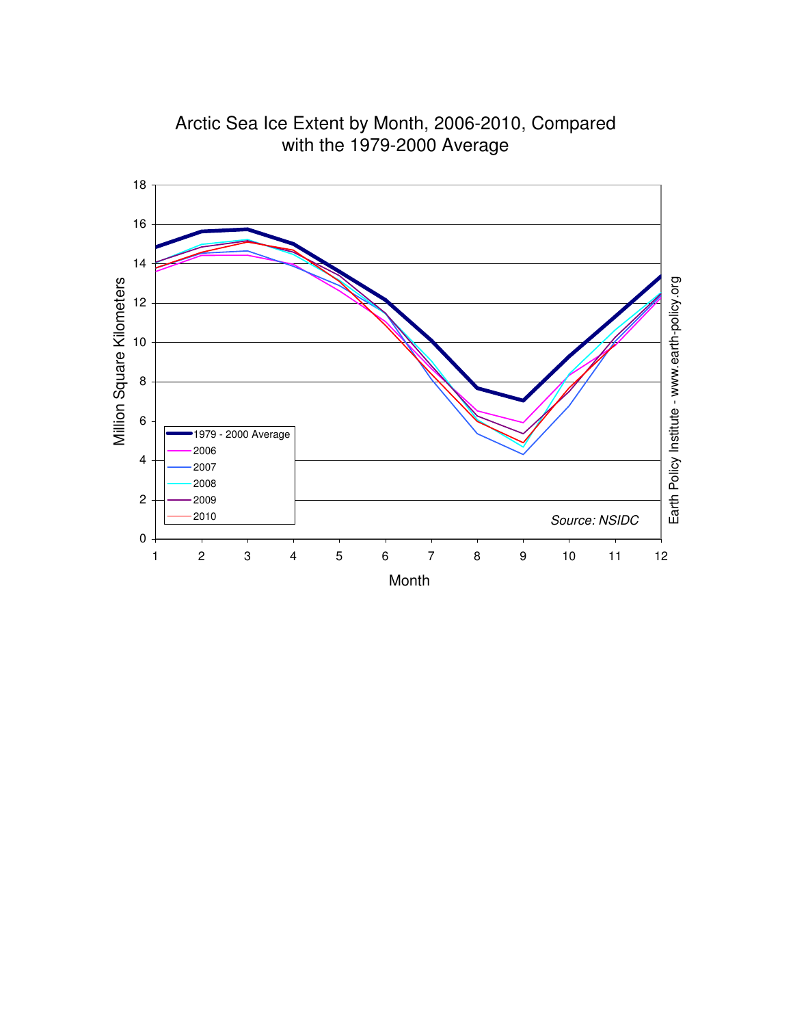

Arctic Sea Ice Extent by Month, 2006-2010, Compared with the 1979-2000 Average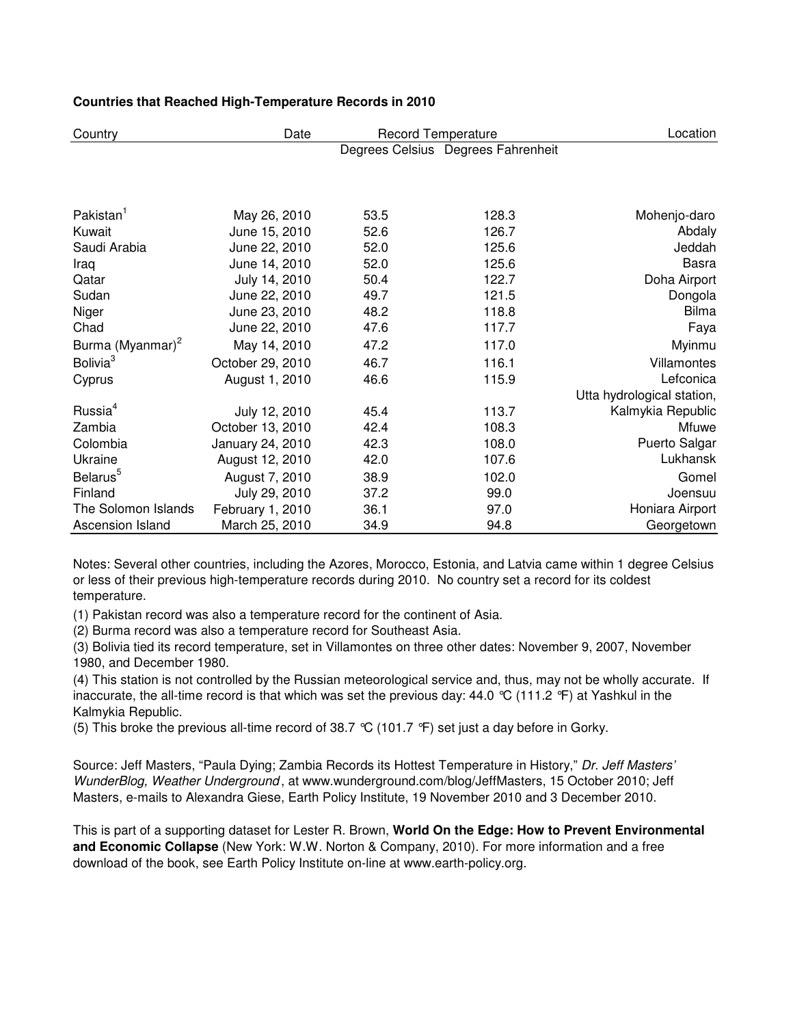| Country                      | Date             | <b>Record Temperature</b> |                                    | Location                   |
|------------------------------|------------------|---------------------------|------------------------------------|----------------------------|
|                              |                  |                           | Degrees Celsius Degrees Fahrenheit |                            |
|                              |                  |                           |                                    |                            |
|                              |                  |                           |                                    |                            |
| Pakistan <sup>1</sup>        | May 26, 2010     | 53.5                      | 128.3                              | Mohenjo-daro               |
| Kuwait                       | June 15, 2010    | 52.6                      | 126.7                              | Abdaly                     |
|                              |                  |                           |                                    |                            |
| Saudi Arabia                 | June 22, 2010    | 52.0                      | 125.6                              | Jeddah                     |
| Iraq                         | June 14, 2010    | 52.0                      | 125.6                              | <b>Basra</b>               |
| Qatar                        | July 14, 2010    | 50.4                      | 122.7                              | Doha Airport               |
| Sudan                        | June 22, 2010    | 49.7                      | 121.5                              | Dongola                    |
| Niger                        | June 23, 2010    | 48.2                      | 118.8                              | <b>Bilma</b>               |
| Chad                         | June 22, 2010    | 47.6                      | 117.7                              | Faya                       |
| Burma (Myanmar) <sup>2</sup> | May 14, 2010     | 47.2                      | 117.0                              | Myinmu                     |
| Bolivia <sup>3</sup>         | October 29, 2010 | 46.7                      | 116.1                              | Villamontes                |
| Cyprus                       | August 1, 2010   | 46.6                      | 115.9                              | Lefconica                  |
|                              |                  |                           |                                    | Utta hydrological station, |
| Russia <sup>4</sup>          | July 12, 2010    | 45.4                      | 113.7                              | Kalmykia Republic          |
| Zambia                       | October 13, 2010 | 42.4                      | 108.3                              | Mfuwe                      |
| Colombia                     | January 24, 2010 | 42.3                      | 108.0                              | Puerto Salgar              |
| Ukraine                      | August 12, 2010  | 42.0                      | 107.6                              | Lukhansk                   |
| Belarus <sup>5</sup>         | August 7, 2010   | 38.9                      | 102.0                              | Gomel                      |
| Finland                      | July 29, 2010    | 37.2                      | 99.0                               | Joensuu                    |
| The Solomon Islands          | February 1, 2010 | 36.1                      | 97.0                               | Honiara Airport            |
| Ascension Island             | March 25, 2010   | 34.9                      | 94.8                               | Georgetown                 |

Notes: Several other countries, including the Azores, Morocco, Estonia, and Latvia came within 1 degree Celsius or less of their previous high-temperature records during 2010. No country set a record for its coldest temperature.

(1) Pakistan record was also a temperature record for the continent of Asia.

(2) Burma record was also a temperature record for Southeast Asia.

(3) Bolivia tied its record temperature, set in Villamontes on three other dates: November 9, 2007, November 1980, and December 1980.

(4) This station is not controlled by the Russian meteorological service and, thus, may not be wholly accurate. If inaccurate, the all-time record is that which was set the previous day: 44.0 °C (111.2 °F) at Yashkul in the Kalmykia Republic.

(5) This broke the previous all-time record of 38.7 °C (101.7 °F) set just a day before in Gorky.

Source: Jeff Masters, "Paula Dying; Zambia Records its Hottest Temperature in History," Dr. Jeff Masters' WunderBlog, Weather Underground , at www.wunderground.com/blog/JeffMasters, 15 October 2010; Jeff Masters, e-mails to Alexandra Giese, Earth Policy Institute, 19 November 2010 and 3 December 2010.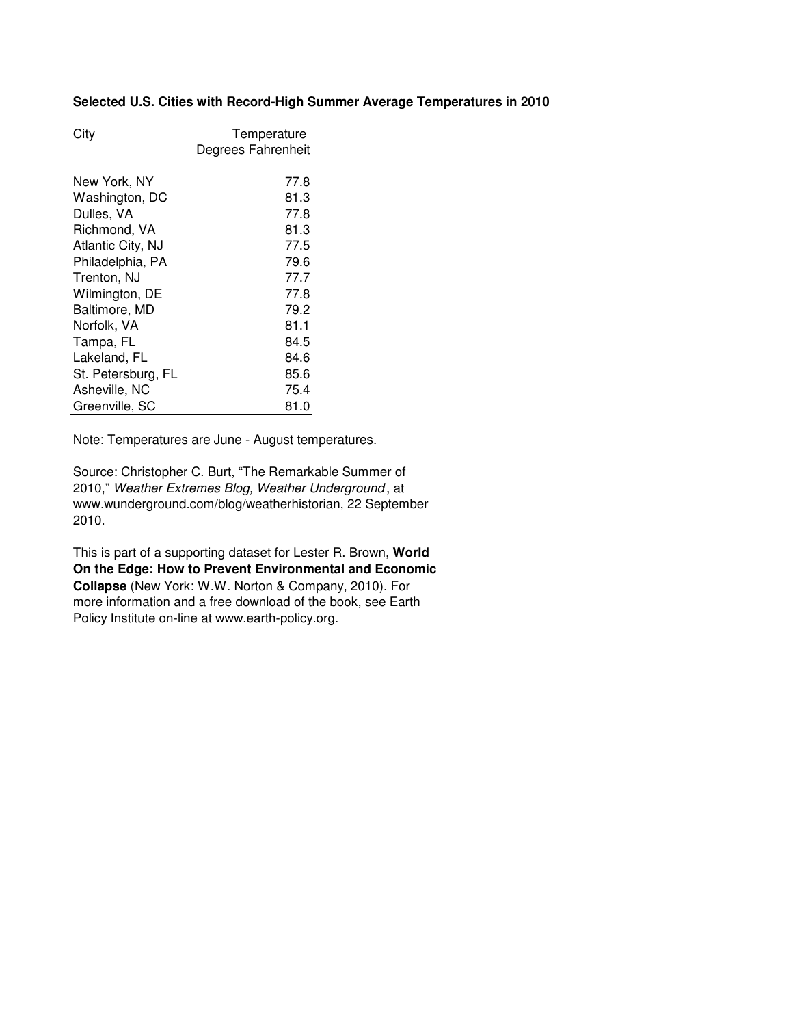# **Selected U.S. Cities with Record-High Summer Average Temperatures in 2010**

| City               | Temperature        |
|--------------------|--------------------|
|                    | Degrees Fahrenheit |
|                    |                    |
| New York, NY       | 77.8               |
| Washington, DC     | 81.3               |
| Dulles, VA         | 77.8               |
| Richmond, VA       | 81.3               |
| Atlantic City, NJ  | 77.5               |
| Philadelphia, PA   | 79.6               |
| Trenton, NJ        | 77.7               |
| Wilmington, DE     | 77.8               |
| Baltimore, MD      | 79.2               |
| Norfolk, VA        | 81.1               |
| Tampa, FL          | 84.5               |
| Lakeland, FL       | 84.6               |
| St. Petersburg, FL | 85.6               |
| Asheville, NC      | 75.4               |
| Greenville, SC     | 81.0               |

Note: Temperatures are June - August temperatures.

Source: Christopher C. Burt, "The Remarkable Summer of 2010," Weather Extremes Blog, Weather Underground , at www.wunderground.com/blog/weatherhistorian, 22 September 2010.